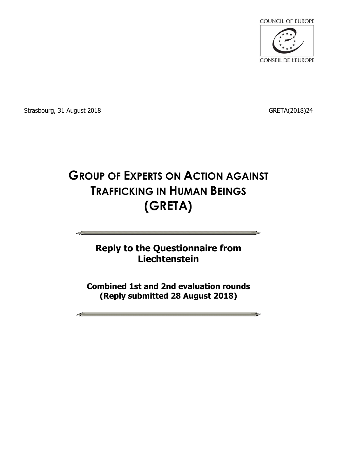

Strasbourg, 31 August 2018 **GRETA**(2018)24

<u>en estas de la pro</u>

# **GROUP OF EXPERTS ON ACTION AGAINST TRAFFICKING IN HUMAN BEINGS (GRETA)**

## **Reply to the Questionnaire from Liechtenstein**

**Combined 1st and 2nd evaluation rounds (Reply submitted 28 August 2018)**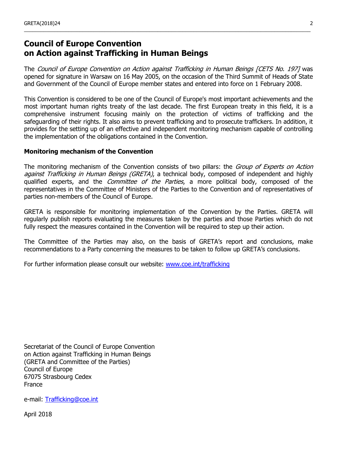## **Council of Europe Convention on Action against Trafficking in Human Beings**

The Council of Europe Convention on Action against Trafficking in Human Beings [CETS No. 197] was opened for signature in Warsaw on 16 May 2005, on the occasion of the Third Summit of Heads of State and Government of the Council of Europe member states and entered into force on 1 February 2008.

\_\_\_\_\_\_\_\_\_\_\_\_\_\_\_\_\_\_\_\_\_\_\_\_\_\_\_\_\_\_\_\_\_\_\_\_\_\_\_\_\_\_\_\_\_\_\_\_\_\_\_\_\_\_\_\_\_\_\_\_\_\_\_\_\_\_\_\_\_\_\_\_\_\_\_\_\_\_\_\_\_\_\_\_\_\_\_\_\_\_\_\_\_\_\_\_\_\_\_\_\_\_\_

This Convention is considered to be one of the Council of Europe's most important achievements and the most important human rights treaty of the last decade. The first European treaty in this field, it is a comprehensive instrument focusing mainly on the protection of victims of trafficking and the safeguarding of their rights. It also aims to prevent trafficking and to prosecute traffickers. In addition, it provides for the setting up of an effective and independent monitoring mechanism capable of controlling the implementation of the obligations contained in the Convention.

#### **Monitoring mechanism of the Convention**

The monitoring mechanism of the Convention consists of two pillars: the Group of Experts on Action against Trafficking in Human Beings (GRETA), a technical body, composed of independent and highly qualified experts, and the *Committee of the Parties*, a more political body, composed of the representatives in the Committee of Ministers of the Parties to the Convention and of representatives of parties non-members of the Council of Europe.

GRETA is responsible for monitoring implementation of the Convention by the Parties. GRETA will regularly publish reports evaluating the measures taken by the parties and those Parties which do not fully respect the measures contained in the Convention will be required to step up their action.

The Committee of the Parties may also, on the basis of GRETA's report and conclusions, make recommendations to a Party concerning the measures to be taken to follow up GRETA's conclusions.

For further information please consult our website: [www.coe.int/trafficking](http://www.coe.int/trafficking)

Secretariat of the Council of Europe Convention on Action against Trafficking in Human Beings (GRETA and Committee of the Parties) Council of Europe 67075 Strasbourg Cedex France

e-mail: [Trafficking@coe.int](mailto:Trafficking@coe.int)

April 2018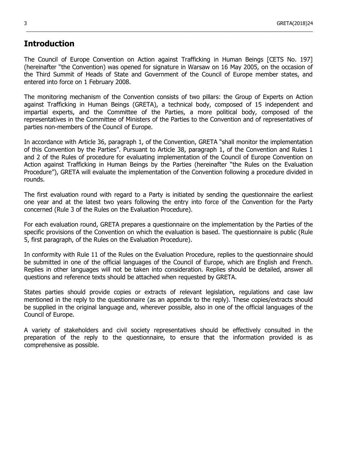### **Introduction**

The Council of Europe Convention on Action against Trafficking in Human Beings [CETS No. 197] (hereinafter "the Convention) was opened for signature in Warsaw on 16 May 2005, on the occasion of the Third Summit of Heads of State and Government of the Council of Europe member states, and entered into force on 1 February 2008.

\_\_\_\_\_\_\_\_\_\_\_\_\_\_\_\_\_\_\_\_\_\_\_\_\_\_\_\_\_\_\_\_\_\_\_\_\_\_\_\_\_\_\_\_\_\_\_\_\_\_\_\_\_\_\_\_\_\_\_\_\_\_\_\_\_\_\_\_\_\_\_\_\_\_\_\_\_\_\_\_\_\_\_\_\_\_\_\_\_\_\_\_\_\_\_\_\_\_\_\_\_\_\_

The monitoring mechanism of the Convention consists of two pillars: the Group of Experts on Action against Trafficking in Human Beings (GRETA), a technical body, composed of 15 independent and impartial experts, and the Committee of the Parties, a more political body, composed of the representatives in the Committee of Ministers of the Parties to the Convention and of representatives of parties non-members of the Council of Europe.

In accordance with Article 36, paragraph 1, of the Convention, GRETA "shall monitor the implementation of this Convention by the Parties". Pursuant to Article 38, paragraph 1, of the Convention and Rules 1 and 2 of the Rules of procedure for evaluating implementation of the Council of Europe Convention on Action against Trafficking in Human Beings by the Parties (hereinafter "the Rules on the Evaluation Procedure"), GRETA will evaluate the implementation of the Convention following a procedure divided in rounds.

The first evaluation round with regard to a Party is initiated by sending the questionnaire the earliest one year and at the latest two years following the entry into force of the Convention for the Party concerned (Rule 3 of the Rules on the Evaluation Procedure).

For each evaluation round, GRETA prepares a questionnaire on the implementation by the Parties of the specific provisions of the Convention on which the evaluation is based. The questionnaire is public (Rule 5, first paragraph, of the Rules on the Evaluation Procedure).

In conformity with Rule 11 of the Rules on the Evaluation Procedure, replies to the questionnaire should be submitted in one of the official languages of the Council of Europe, which are English and French. Replies in other languages will not be taken into consideration. Replies should be detailed, answer all questions and reference texts should be attached when requested by GRETA.

States parties should provide copies or extracts of relevant legislation, regulations and case law mentioned in the reply to the questionnaire (as an appendix to the reply). These copies/extracts should be supplied in the original language and, wherever possible, also in one of the official languages of the Council of Europe.

A variety of stakeholders and civil society representatives should be effectively consulted in the preparation of the reply to the questionnaire, to ensure that the information provided is as comprehensive as possible.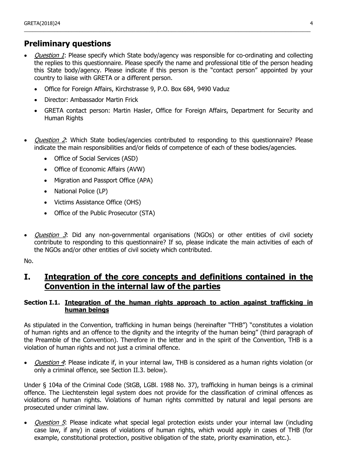## **Preliminary questions**

Question 1: Please specify which State body/agency was responsible for co-ordinating and collecting the replies to this questionnaire. Please specify the name and professional title of the person heading this State body/agency. Please indicate if this person is the "contact person" appointed by your country to liaise with GRETA or a different person.

\_\_\_\_\_\_\_\_\_\_\_\_\_\_\_\_\_\_\_\_\_\_\_\_\_\_\_\_\_\_\_\_\_\_\_\_\_\_\_\_\_\_\_\_\_\_\_\_\_\_\_\_\_\_\_\_\_\_\_\_\_\_\_\_\_\_\_\_\_\_\_\_\_\_\_\_\_\_\_\_\_\_\_\_\_\_\_\_\_\_\_\_\_\_\_\_\_\_\_\_\_\_\_

- Office for Foreign Affairs, Kirchstrasse 9, P.O. Box 684, 9490 Vaduz
- Director: Ambassador Martin Frick
- GRETA contact person: Martin Hasler, Office for Foreign Affairs, Department for Security and Human Rights
- Question 2: Which State bodies/agencies contributed to responding to this questionnaire? Please indicate the main responsibilities and/or fields of competence of each of these bodies/agencies.
	- Office of Social Services (ASD)
	- Office of Economic Affairs (AVW)
	- Migration and Passport Office (APA)
	- National Police (LP)
	- Victims Assistance Office (OHS)
	- Office of the Public Prosecutor (STA)
- Question 3: Did any non-governmental organisations (NGOs) or other entities of civil society contribute to responding to this questionnaire? If so, please indicate the main activities of each of the NGOs and/or other entities of civil society which contributed.

No.

## **I. Integration of the core concepts and definitions contained in the Convention in the internal law of the parties**

#### **Section I.1. Integration of the human rights approach to action against trafficking in human beings**

As stipulated in the Convention, trafficking in human beings (hereinafter "THB") "constitutes a violation of human rights and an offence to the dignity and the integrity of the human being" (third paragraph of the Preamble of the Convention). Therefore in the letter and in the spirit of the Convention, THB is a violation of human rights and not just a criminal offence.

Question 4: Please indicate if, in your internal law, THB is considered as a human rights violation (or only a criminal offence, see Section II.3. below).

Under § 104a of the Criminal Code (StGB, LGBl. 1988 No. 37), trafficking in human beings is a criminal offence. The Liechtenstein legal system does not provide for the classification of criminal offences as violations of human rights. Violations of human rights committed by natural and legal persons are prosecuted under criminal law.

Question 5: Please indicate what special legal protection exists under your internal law (including case law, if any) in cases of violations of human rights, which would apply in cases of THB (for example, constitutional protection, positive obligation of the state, priority examination, etc.).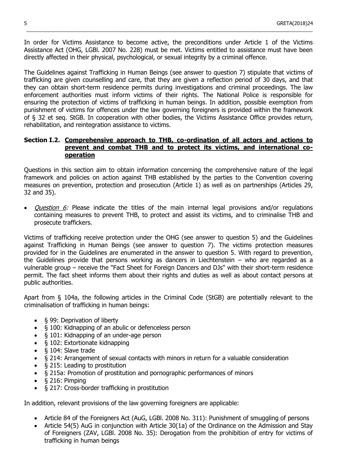In order for Victims Assistance to become active, the preconditions under Article 1 of the Victims Assistance Act (OHG, LGBl. 2007 No. 228) must be met. Victims entitled to assistance must have been directly affected in their physical, psychological, or sexual integrity by a criminal offence.

\_\_\_\_\_\_\_\_\_\_\_\_\_\_\_\_\_\_\_\_\_\_\_\_\_\_\_\_\_\_\_\_\_\_\_\_\_\_\_\_\_\_\_\_\_\_\_\_\_\_\_\_\_\_\_\_\_\_\_\_\_\_\_\_\_\_\_\_\_\_\_\_\_\_\_\_\_\_\_\_\_\_\_\_\_\_\_\_\_\_\_\_\_\_\_\_\_\_\_\_\_\_\_

The Guidelines against Trafficking in Human Beings (see answer to question 7) stipulate that victims of trafficking are given counselling and care, that they are given a reflection period of 30 days, and that they can obtain short-term residence permits during investigations and criminal proceedings. The law enforcement authorities must inform victims of their rights. The National Police is responsible for ensuring the protection of victims of trafficking in human beings. In addition, possible exemption from punishment of victims for offences under the law governing foreigners is provided within the framework of § 32 et seq. StGB. In cooperation with other bodies, the Victims Assistance Office provides return, rehabilitation, and reintegration assistance to victims.

#### **Section I.2. Comprehensive approach to THB, co-ordination of all actors and actions to prevent and combat THB and to protect its victims, and international cooperation**

Questions in this section aim to obtain information concerning the comprehensive nature of the legal framework and policies on action against THB established by the parties to the Convention covering measures on prevention, protection and prosecution (Article 1) as well as on partnerships (Articles 29, 32 and 35).

Question 6: Please indicate the titles of the main internal legal provisions and/or regulations containing measures to prevent THB, to protect and assist its victims, and to criminalise THB and prosecute traffickers.

Victims of trafficking receive protection under the OHG (see answer to question 5) and the Guidelines against Trafficking in Human Beings (see answer to question 7). The victims protection measures provided for in the Guidelines are enumerated in the answer to question 5. With regard to prevention, the Guidelines provide that persons working as dancers in Liechtenstein – who are regarded as a vulnerable group – receive the "Fact Sheet for Foreign Dancers and DJs" with their short-term residence permit. The fact sheet informs them about their rights and duties as well as about contact persons at public authorities.

Apart from § 104a, the following articles in the Criminal Code (StGB) are potentially relevant to the criminalisation of trafficking in human beings:

- § 99: Deprivation of liberty
- § 100: Kidnapping of an abulic or defenceless person
- § 101: Kidnapping of an under-age person
- § 102: Extortionate kidnapping
- § 104: Slave trade
- § 214: Arrangement of sexual contacts with minors in return for a valuable consideration
- § 215: Leading to prostitution
- § 215a: Promotion of prostitution and pornographic performances of minors
- § 216: Pimping
- § 217: Cross-border trafficking in prostitution

In addition, relevant provisions of the law governing foreigners are applicable:

- Article 84 of the Foreigners Act (AuG, LGBl. 2008 No. 311): Punishment of smuggling of persons
- Article 54(5) AuG in conjunction with Article 30(1a) of the Ordinance on the Admission and Stay of Foreigners (ZAV, LGBl. 2008 No. 35): Derogation from the prohibition of entry for victims of trafficking in human beings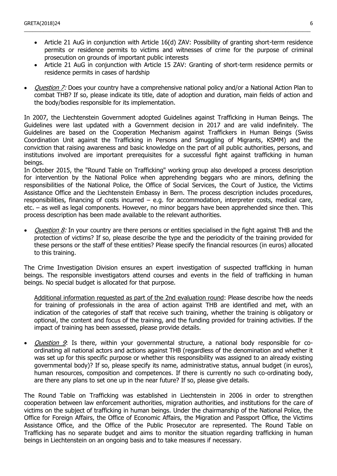Article 21 AuG in conjunction with Article 16(d) ZAV: Possibility of granting short-term residence permits or residence permits to victims and witnesses of crime for the purpose of criminal prosecution on grounds of important public interests

\_\_\_\_\_\_\_\_\_\_\_\_\_\_\_\_\_\_\_\_\_\_\_\_\_\_\_\_\_\_\_\_\_\_\_\_\_\_\_\_\_\_\_\_\_\_\_\_\_\_\_\_\_\_\_\_\_\_\_\_\_\_\_\_\_\_\_\_\_\_\_\_\_\_\_\_\_\_\_\_\_\_\_\_\_\_\_\_\_\_\_\_\_\_\_\_\_\_\_\_\_\_\_

- Article 21 AuG in conjunction with Article 15 ZAV: Granting of short-term residence permits or residence permits in cases of hardship
- Question 7: Does your country have a comprehensive national policy and/or a National Action Plan to combat THB? If so, please indicate its title, date of adoption and duration, main fields of action and the body/bodies responsible for its implementation.

In 2007, the Liechtenstein Government adopted Guidelines against Trafficking in Human Beings. The Guidelines were last updated with a Government decision in 2017 and are valid indefinitely. The Guidelines are based on the Cooperation Mechanism against Traffickers in Human Beings (Swiss Coordination Unit against the Trafficking in Persons and Smuggling of Migrants, KSMM) and the conviction that raising awareness and basic knowledge on the part of all public authorities, persons, and institutions involved are important prerequisites for a successful fight against trafficking in human beings.

In October 2015, the "Round Table on Trafficking" working group also developed a process description for intervention by the National Police when apprehending beggars who are minors, defining the responsibilities of the National Police, the Office of Social Services, the Court of Justice, the Victims Assistance Office and the Liechtenstein Embassy in Bern. The process description includes procedures, responsibilities, financing of costs incurred – e.g. for accommodation, interpreter costs, medical care, etc. – as well as legal components. However, no minor beggars have been apprehended since then. This process description has been made available to the relevant authorities.

Question 8: In your country are there persons or entities specialised in the fight against THB and the protection of victims? If so, please describe the type and the periodicity of the training provided for these persons or the staff of these entities? Please specify the financial resources (in euros) allocated to this training.

The Crime Investigation Division ensures an expert investigation of suspected trafficking in human beings. The responsible investigators attend courses and events in the field of trafficking in human beings. No special budget is allocated for that purpose.

Additional information requested as part of the 2nd evaluation round: Please describe how the needs for training of professionals in the area of action against THB are identified and met, with an indication of the categories of staff that receive such training, whether the training is obligatory or optional, the content and focus of the training, and the funding provided for training activities. If the impact of training has been assessed, please provide details.

• *Question 9*: Is there, within your governmental structure, a national body responsible for coordinating all national actors and actions against THB (regardless of the denomination and whether it was set up for this specific purpose or whether this responsibility was assigned to an already existing governmental body)? If so, please specify its name, administrative status, annual budget (in euros), human resources, composition and competences. If there is currently no such co-ordinating body, are there any plans to set one up in the near future? If so, please give details.

The Round Table on Trafficking was established in Liechtenstein in 2006 in order to strengthen cooperation between law enforcement authorities, migration authorities, and institutions for the care of victims on the subject of trafficking in human beings. Under the chairmanship of the National Police, the Office for Foreign Affairs, the Office of Economic Affairs, the Migration and Passport Office, the Victims Assistance Office, and the Office of the Public Prosecutor are represented. The Round Table on Trafficking has no separate budget and aims to monitor the situation regarding trafficking in human beings in Liechtenstein on an ongoing basis and to take measures if necessary.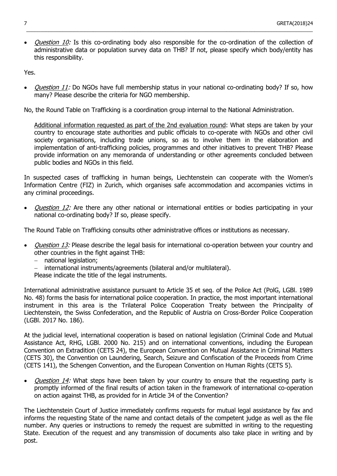• *Question 10:* Is this co-ordinating body also responsible for the co-ordination of the collection of administrative data or population survey data on THB? If not, please specify which body/entity has this responsibility.

\_\_\_\_\_\_\_\_\_\_\_\_\_\_\_\_\_\_\_\_\_\_\_\_\_\_\_\_\_\_\_\_\_\_\_\_\_\_\_\_\_\_\_\_\_\_\_\_\_\_\_\_\_\_\_\_\_\_\_\_\_\_\_\_\_\_\_\_\_\_\_\_\_\_\_\_\_\_\_\_\_\_\_\_\_\_\_\_\_\_\_\_\_\_\_\_\_\_\_\_\_\_\_

Yes.

Question 11: Do NGOs have full membership status in your national co-ordinating body? If so, how many? Please describe the criteria for NGO membership.

No, the Round Table on Trafficking is a coordination group internal to the National Administration.

Additional information requested as part of the 2nd evaluation round: What steps are taken by your country to encourage state authorities and public officials to co-operate with NGOs and other civil society organisations, including trade unions, so as to involve them in the elaboration and implementation of anti-trafficking policies, programmes and other initiatives to prevent THB? Please provide information on any memoranda of understanding or other agreements concluded between public bodies and NGOs in this field.

In suspected cases of trafficking in human beings, Liechtenstein can cooperate with the Women's Information Centre (FIZ) in Zurich, which organises safe accommodation and accompanies victims in any criminal proceedings.

Question 12: Are there any other national or international entities or bodies participating in your national co-ordinating body? If so, please specify.

The Round Table on Trafficking consults other administrative offices or institutions as necessary.

- *Question 13:* Please describe the legal basis for international co-operation between your country and other countries in the fight against THB:
	- national legislation;
	- international instruments/agreements (bilateral and/or multilateral).
	- Please indicate the title of the legal instruments.

International administrative assistance pursuant to Article 35 et seq. of the Police Act (PolG, LGBl. 1989 No. 48) forms the basis for international police cooperation. In practice, the most important international instrument in this area is the Trilateral Police Cooperation Treaty between the Principality of Liechtenstein, the Swiss Confederation, and the Republic of Austria on Cross-Border Police Cooperation (LGBl. 2017 No. 186).

At the judicial level, international cooperation is based on national legislation (Criminal Code and Mutual Assistance Act, RHG, LGBl. 2000 No. 215) and on international conventions, including the European Convention on Extradition (CETS 24), the European Convention on Mutual Assistance in Criminal Matters (CETS 30), the Convention on Laundering, Search, Seizure and Confiscation of the Proceeds from Crime (CETS 141), the Schengen Convention, and the European Convention on Human Rights (CETS 5).

Question 14: What steps have been taken by your country to ensure that the requesting party is promptly informed of the final results of action taken in the framework of international co-operation on action against THB, as provided for in Article 34 of the Convention?

The Liechtenstein Court of Justice immediately confirms requests for mutual legal assistance by fax and informs the requesting State of the name and contact details of the competent judge as well as the file number. Any queries or instructions to remedy the request are submitted in writing to the requesting State. Execution of the request and any transmission of documents also take place in writing and by post.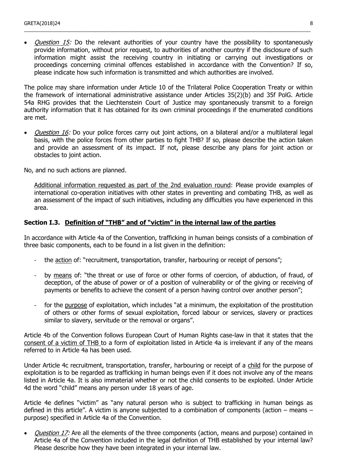*Question 15:* Do the relevant authorities of your country have the possibility to spontaneously provide information, without prior request, to authorities of another country if the disclosure of such information might assist the receiving country in initiating or carrying out investigations or proceedings concerning criminal offences established in accordance with the Convention? If so, please indicate how such information is transmitted and which authorities are involved.

\_\_\_\_\_\_\_\_\_\_\_\_\_\_\_\_\_\_\_\_\_\_\_\_\_\_\_\_\_\_\_\_\_\_\_\_\_\_\_\_\_\_\_\_\_\_\_\_\_\_\_\_\_\_\_\_\_\_\_\_\_\_\_\_\_\_\_\_\_\_\_\_\_\_\_\_\_\_\_\_\_\_\_\_\_\_\_\_\_\_\_\_\_\_\_\_\_\_\_\_\_\_\_

The police may share information under Article 10 of the Trilateral Police Cooperation Treaty or within the framework of international administrative assistance under Articles 35(2)(b) and 35f PolG. Article 54a RHG provides that the Liechtenstein Court of Justice may spontaneously transmit to a foreign authority information that it has obtained for its own criminal proceedings if the enumerated conditions are met.

• *Question 16:* Do your police forces carry out joint actions, on a bilateral and/or a multilateral legal basis, with the police forces from other parties to fight THB? If so, please describe the action taken and provide an assessment of its impact. If not, please describe any plans for joint action or obstacles to joint action.

No, and no such actions are planned.

Additional information requested as part of the 2nd evaluation round: Please provide examples of international co-operation initiatives with other states in preventing and combating THB, as well as an assessment of the impact of such initiatives, including any difficulties you have experienced in this area.

#### **Section I.3. Definition of "THB" and of "victim" in the internal law of the parties**

In accordance with Article 4a of the Convention, trafficking in human beings consists of a combination of three basic components, each to be found in a list given in the definition:

- the action of: "recruitment, transportation, transfer, harbouring or receipt of persons";
- by means of: "the threat or use of force or other forms of coercion, of abduction, of fraud, of deception, of the abuse of power or of a position of vulnerability or of the giving or receiving of payments or benefits to achieve the consent of a person having control over another person";
- for the purpose of exploitation, which includes "at a minimum, the exploitation of the prostitution of others or other forms of sexual exploitation, forced labour or services, slavery or practices similar to slavery, servitude or the removal or organs".

Article 4b of the Convention follows European Court of Human Rights case-law in that it states that the consent of a victim of THB to a form of exploitation listed in Article 4a is irrelevant if any of the means referred to in Article 4a has been used.

Under Article 4c recruitment, transportation, transfer, harbouring or receipt of a child for the purpose of exploitation is to be regarded as trafficking in human beings even if it does not involve any of the means listed in Article 4a. It is also immaterial whether or not the child consents to be exploited. Under Article 4d the word "child" means any person under 18 years of age.

Article 4e defines "victim" as "any natural person who is subject to trafficking in human beings as defined in this article". A victim is anyone subjected to a combination of components (action – means – purpose) specified in Article 4a of the Convention.

Question 17: Are all the elements of the three components (action, means and purpose) contained in Article 4a of the Convention included in the legal definition of THB established by your internal law? Please describe how they have been integrated in your internal law.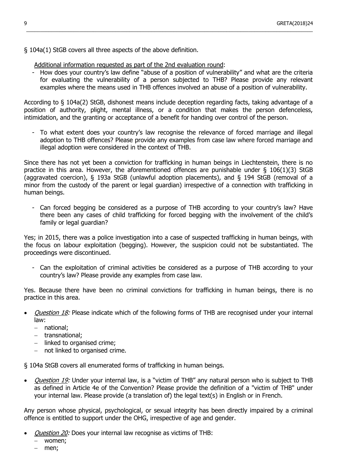§ 104a(1) StGB covers all three aspects of the above definition.

#### Additional information requested as part of the 2nd evaluation round:

- How does your country's law define "abuse of a position of vulnerability" and what are the criteria for evaluating the vulnerability of a person subjected to THB? Please provide any relevant examples where the means used in THB offences involved an abuse of a position of vulnerability.

\_\_\_\_\_\_\_\_\_\_\_\_\_\_\_\_\_\_\_\_\_\_\_\_\_\_\_\_\_\_\_\_\_\_\_\_\_\_\_\_\_\_\_\_\_\_\_\_\_\_\_\_\_\_\_\_\_\_\_\_\_\_\_\_\_\_\_\_\_\_\_\_\_\_\_\_\_\_\_\_\_\_\_\_\_\_\_\_\_\_\_\_\_\_\_\_\_\_\_\_\_\_\_

According to § 104a(2) StGB, dishonest means include deception regarding facts, taking advantage of a position of authority, plight, mental illness, or a condition that makes the person defenceless, intimidation, and the granting or acceptance of a benefit for handing over control of the person.

To what extent does your country's law recognise the relevance of forced marriage and illegal adoption to THB offences? Please provide any examples from case law where forced marriage and illegal adoption were considered in the context of THB.

Since there has not yet been a conviction for trafficking in human beings in Liechtenstein, there is no practice in this area. However, the aforementioned offences are punishable under § 106(1)(3) StGB (aggravated coercion), § 193a StGB (unlawful adoption placements), and § 194 StGB (removal of a minor from the custody of the parent or legal guardian) irrespective of a connection with trafficking in human beings.

- Can forced begging be considered as a purpose of THB according to your country's law? Have there been any cases of child trafficking for forced begging with the involvement of the child's family or legal guardian?

Yes; in 2015, there was a police investigation into a case of suspected trafficking in human beings, with the focus on labour exploitation (begging). However, the suspicion could not be substantiated. The proceedings were discontinued.

- Can the exploitation of criminal activities be considered as a purpose of THB according to your country's law? Please provide any examples from case law.

Yes. Because there have been no criminal convictions for trafficking in human beings, there is no practice in this area.

- Question 18: Please indicate which of the following forms of THB are recognised under your internal law:
	- national;
	- transnational;
	- linked to organised crime;
	- $-$  not linked to organised crime.

§ 104a StGB covers all enumerated forms of trafficking in human beings.

• *Question 19:* Under your internal law, is a "victim of THB" any natural person who is subject to THB as defined in Article 4e of the Convention? Please provide the definition of a "victim of THB" under your internal law. Please provide (a translation of) the legal text(s) in English or in French.

Any person whose physical, psychological, or sexual integrity has been directly impaired by a criminal offence is entitled to support under the OHG, irrespective of age and gender.

- Question 20: Does your internal law recognise as victims of THB:
	- women;
	- men;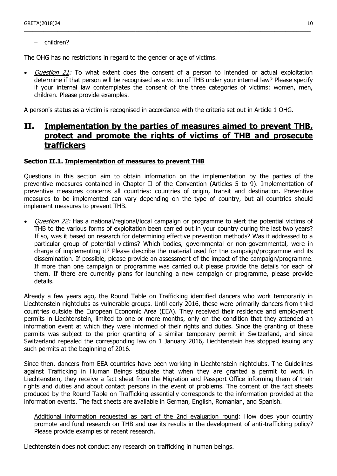children?

The OHG has no restrictions in regard to the gender or age of victims.

• *Question 21:* To what extent does the consent of a person to intended or actual exploitation determine if that person will be recognised as a victim of THB under your internal law? Please specify if your internal law contemplates the consent of the three categories of victims: women, men, children. Please provide examples.

\_\_\_\_\_\_\_\_\_\_\_\_\_\_\_\_\_\_\_\_\_\_\_\_\_\_\_\_\_\_\_\_\_\_\_\_\_\_\_\_\_\_\_\_\_\_\_\_\_\_\_\_\_\_\_\_\_\_\_\_\_\_\_\_\_\_\_\_\_\_\_\_\_\_\_\_\_\_\_\_\_\_\_\_\_\_\_\_\_\_\_\_\_\_\_\_\_\_\_\_\_\_\_

A person's status as a victim is recognised in accordance with the criteria set out in Article 1 OHG.

## **II. Implementation by the parties of measures aimed to prevent THB, protect and promote the rights of victims of THB and prosecute traffickers**

#### **Section II.1. Implementation of measures to prevent THB**

Questions in this section aim to obtain information on the implementation by the parties of the preventive measures contained in Chapter II of the Convention (Articles 5 to 9). Implementation of preventive measures concerns all countries: countries of origin, transit and destination. Preventive measures to be implemented can vary depending on the type of country, but all countries should implement measures to prevent THB.

*Question 22:* Has a national/regional/local campaign or programme to alert the potential victims of THB to the various forms of exploitation been carried out in your country during the last two years? If so, was it based on research for determining effective prevention methods? Was it addressed to a particular group of potential victims? Which bodies, governmental or non-governmental, were in charge of implementing it? Please describe the material used for the campaign/programme and its dissemination. If possible, please provide an assessment of the impact of the campaign/programme. If more than one campaign or programme was carried out please provide the details for each of them. If there are currently plans for launching a new campaign or programme, please provide details.

Already a few years ago, the Round Table on Trafficking identified dancers who work temporarily in Liechtenstein nightclubs as vulnerable groups. Until early 2016, these were primarily dancers from third countries outside the European Economic Area (EEA). They received their residence and employment permits in Liechtenstein, limited to one or more months, only on the condition that they attended an information event at which they were informed of their rights and duties. Since the granting of these permits was subject to the prior granting of a similar temporary permit in Switzerland, and since Switzerland repealed the corresponding law on 1 January 2016, Liechtenstein has stopped issuing any such permits at the beginning of 2016.

Since then, dancers from EEA countries have been working in Liechtenstein nightclubs. The Guidelines against Trafficking in Human Beings stipulate that when they are granted a permit to work in Liechtenstein, they receive a fact sheet from the Migration and Passport Office informing them of their rights and duties and about contact persons in the event of problems. The content of the fact sheets produced by the Round Table on Trafficking essentially corresponds to the information provided at the information events. The fact sheets are available in German, English, Romanian, and Spanish.

Additional information requested as part of the 2nd evaluation round: How does your country promote and fund research on THB and use its results in the development of anti-trafficking policy? Please provide examples of recent research.

Liechtenstein does not conduct any research on trafficking in human beings.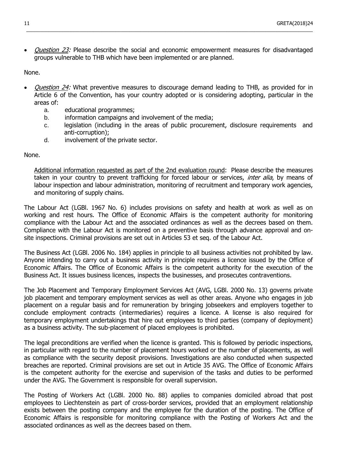Question 23: Please describe the social and economic empowerment measures for disadvantaged groups vulnerable to THB which have been implemented or are planned.

\_\_\_\_\_\_\_\_\_\_\_\_\_\_\_\_\_\_\_\_\_\_\_\_\_\_\_\_\_\_\_\_\_\_\_\_\_\_\_\_\_\_\_\_\_\_\_\_\_\_\_\_\_\_\_\_\_\_\_\_\_\_\_\_\_\_\_\_\_\_\_\_\_\_\_\_\_\_\_\_\_\_\_\_\_\_\_\_\_\_\_\_\_\_\_\_\_\_\_\_\_\_\_

None.

- Question 24: What preventive measures to discourage demand leading to THB, as provided for in Article 6 of the Convention, has your country adopted or is considering adopting, particular in the areas of:
	- a. educational programmes;
	- b. information campaigns and involvement of the media;
	- c. legislation (including in the areas of public procurement, disclosure requirements and anti-corruption);
	- d. involvement of the private sector.

None.

Additional information requested as part of the 2nd evaluation round: Please describe the measures taken in your country to prevent trafficking for forced labour or services, *inter alia*, by means of labour inspection and labour administration, monitoring of recruitment and temporary work agencies, and monitoring of supply chains.

The Labour Act (LGBl. 1967 No. 6) includes provisions on safety and health at work as well as on working and rest hours. The Office of Economic Affairs is the competent authority for monitoring compliance with the Labour Act and the associated ordinances as well as the decrees based on them. Compliance with the Labour Act is monitored on a preventive basis through advance approval and onsite inspections. Criminal provisions are set out in Articles 53 et seq. of the Labour Act.

The Business Act (LGBl. 2006 No. 184) applies in principle to all business activities not prohibited by law. Anyone intending to carry out a business activity in principle requires a licence issued by the Office of Economic Affairs. The Office of Economic Affairs is the competent authority for the execution of the Business Act. It issues business licences, inspects the businesses, and prosecutes contraventions.

The Job Placement and Temporary Employment Services Act (AVG, LGBl. 2000 No. 13) governs private job placement and temporary employment services as well as other areas. Anyone who engages in job placement on a regular basis and for remuneration by bringing jobseekers and employers together to conclude employment contracts (intermediaries) requires a licence. A license is also required for temporary employment undertakings that hire out employees to third parties (company of deployment) as a business activity. The sub-placement of placed employees is prohibited.

The legal preconditions are verified when the licence is granted. This is followed by periodic inspections, in particular with regard to the number of placement hours worked or the number of placements, as well as compliance with the security deposit provisions. Investigations are also conducted when suspected breaches are reported. Criminal provisions are set out in Article 35 AVG. The Office of Economic Affairs is the competent authority for the exercise and supervision of the tasks and duties to be performed under the AVG. The Government is responsible for overall supervision.

The Posting of Workers Act (LGBl. 2000 No. 88) applies to companies domiciled abroad that post employees to Liechtenstein as part of cross-border services, provided that an employment relationship exists between the posting company and the employee for the duration of the posting. The Office of Economic Affairs is responsible for monitoring compliance with the Posting of Workers Act and the associated ordinances as well as the decrees based on them.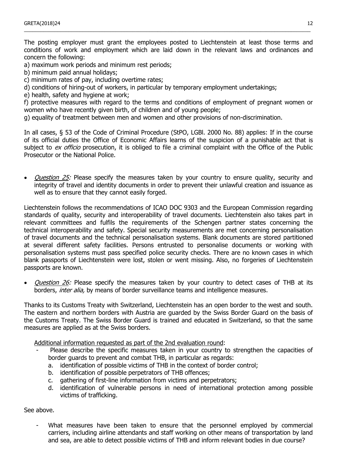The posting employer must grant the employees posted to Liechtenstein at least those terms and conditions of work and employment which are laid down in the relevant laws and ordinances and concern the following:

\_\_\_\_\_\_\_\_\_\_\_\_\_\_\_\_\_\_\_\_\_\_\_\_\_\_\_\_\_\_\_\_\_\_\_\_\_\_\_\_\_\_\_\_\_\_\_\_\_\_\_\_\_\_\_\_\_\_\_\_\_\_\_\_\_\_\_\_\_\_\_\_\_\_\_\_\_\_\_\_\_\_\_\_\_\_\_\_\_\_\_\_\_\_\_\_\_\_\_\_\_\_\_

a) maximum work periods and minimum rest periods;

- b) minimum paid annual holidays;
- c) minimum rates of pay, including overtime rates;
- d) conditions of hiring-out of workers, in particular by temporary employment undertakings;
- e) health, safety and hygiene at work;

f) protective measures with regard to the terms and conditions of employment of pregnant women or women who have recently given birth, of children and of young people;

g) equality of treatment between men and women and other provisions of non-discrimination.

In all cases, § 53 of the Code of Criminal Procedure (StPO, LGBl. 2000 No. 88) applies: If in the course of its official duties the Office of Economic Affairs learns of the suspicion of a punishable act that is subject to ex officio prosecution, it is obliged to file a criminal complaint with the Office of the Public Prosecutor or the National Police.

*Question 25:* Please specify the measures taken by your country to ensure quality, security and integrity of travel and identity documents in order to prevent their unlawful creation and issuance as well as to ensure that they cannot easily forged.

Liechtenstein follows the recommendations of ICAO DOC 9303 and the European Commission regarding standards of quality, security and interoperability of travel documents. Liechtenstein also takes part in relevant committees and fulfils the requirements of the Schengen partner states concerning the technical interoperability and safety. Special security measurements are met concerning personalisation of travel documents and the technical personalisation systems. Blank documents are stored partitioned at several different safety facilities. Persons entrusted to personalise documents or working with personalisation systems must pass specified police security checks. There are no known cases in which blank passports of Liechtenstein were lost, stolen or went missing. Also, no forgeries of Liechtenstein passports are known.

• *Question 26:* Please specify the measures taken by your country to detect cases of THB at its borders, *inter alia*, by means of border surveillance teams and intelligence measures.

Thanks to its Customs Treaty with Switzerland, Liechtenstein has an open border to the west and south. The eastern and northern borders with Austria are guarded by the Swiss Border Guard on the basis of the Customs Treaty. The Swiss Border Guard is trained and educated in Switzerland, so that the same measures are applied as at the Swiss borders.

Additional information requested as part of the 2nd evaluation round:

- Please describe the specific measures taken in your country to strengthen the capacities of border guards to prevent and combat THB, in particular as regards:
	- a. identification of possible victims of THB in the context of border control;
	- b. identification of possible perpetrators of THB offences;
- c. gathering of first-line information from victims and perpetrators;
- d. identification of vulnerable persons in need of international protection among possible victims of trafficking.

See above.

What measures have been taken to ensure that the personnel employed by commercial carriers, including airline attendants and staff working on other means of transportation by land and sea, are able to detect possible victims of THB and inform relevant bodies in due course?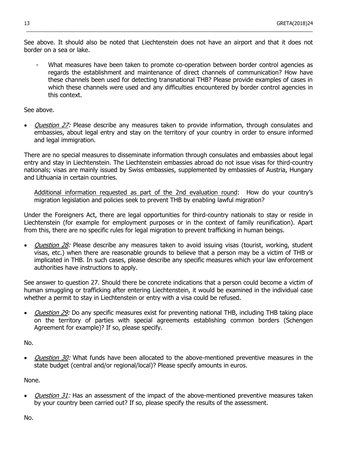See above. It should also be noted that Liechtenstein does not have an airport and that it does not border on a sea or lake.

\_\_\_\_\_\_\_\_\_\_\_\_\_\_\_\_\_\_\_\_\_\_\_\_\_\_\_\_\_\_\_\_\_\_\_\_\_\_\_\_\_\_\_\_\_\_\_\_\_\_\_\_\_\_\_\_\_\_\_\_\_\_\_\_\_\_\_\_\_\_\_\_\_\_\_\_\_\_\_\_\_\_\_\_\_\_\_\_\_\_\_\_\_\_\_\_\_\_\_\_\_\_\_

What measures have been taken to promote co-operation between border control agencies as regards the establishment and maintenance of direct channels of communication? How have these channels been used for detecting transnational THB? Please provide examples of cases in which these channels were used and any difficulties encountered by border control agencies in this context.

See above.

Question 27: Please describe any measures taken to provide information, through consulates and embassies, about legal entry and stay on the territory of your country in order to ensure informed and legal immigration.

There are no special measures to disseminate information through consulates and embassies about legal entry and stay in Liechtenstein. The Liechtenstein embassies abroad do not issue visas for third-country nationals; visas are mainly issued by Swiss embassies, supplemented by embassies of Austria, Hungary and Lithuania in certain countries.

Additional information requested as part of the 2nd evaluation round: How do your country's migration legislation and policies seek to prevent THB by enabling lawful migration?

Under the Foreigners Act, there are legal opportunities for third-country nationals to stay or reside in Liechtenstein (for example for employment purposes or in the context of family reunification). Apart from this, there are no specific rules for legal migration to prevent trafficking in human beings.

• *Question 28:* Please describe any measures taken to avoid issuing visas (tourist, working, student visas, etc.) when there are reasonable grounds to believe that a person may be a victim of THB or implicated in THB. In such cases, please describe any specific measures which your law enforcement authorities have instructions to apply.

See answer to question 27. Should there be concrete indications that a person could become a victim of human smuggling or trafficking after entering Liechtenstein, it would be examined in the individual case whether a permit to stay in Liechtenstein or entry with a visa could be refused.

*Question 29:* Do any specific measures exist for preventing national THB, including THB taking place on the territory of parties with special agreements establishing common borders (Schengen Agreement for example)? If so, please specify.

No.

• *Question 30:* What funds have been allocated to the above-mentioned preventive measures in the state budget (central and/or regional/local)? Please specify amounts in euros.

None.

Question 31: Has an assessment of the impact of the above-mentioned preventive measures taken by your country been carried out? If so, please specify the results of the assessment.

No.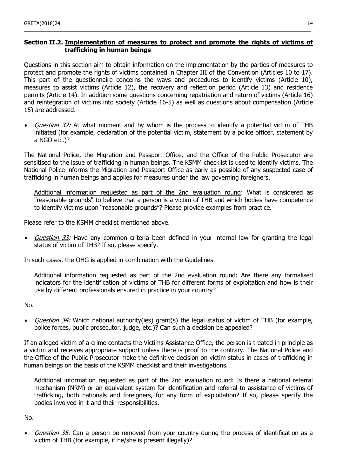#### **Section II.2. Implementation of measures to protect and promote the rights of victims of trafficking in human beings**

\_\_\_\_\_\_\_\_\_\_\_\_\_\_\_\_\_\_\_\_\_\_\_\_\_\_\_\_\_\_\_\_\_\_\_\_\_\_\_\_\_\_\_\_\_\_\_\_\_\_\_\_\_\_\_\_\_\_\_\_\_\_\_\_\_\_\_\_\_\_\_\_\_\_\_\_\_\_\_\_\_\_\_\_\_\_\_\_\_\_\_\_\_\_\_\_\_\_\_\_\_\_\_

Questions in this section aim to obtain information on the implementation by the parties of measures to protect and promote the rights of victims contained in Chapter III of the Convention (Articles 10 to 17). This part of the questionnaire concerns the ways and procedures to identify victims (Article 10), measures to assist victims (Article 12), the recovery and reflection period (Article 13) and residence permits (Article 14). In addition some questions concerning repatriation and return of victims (Article 16) and reintegration of victims into society (Article 16-5) as well as questions about compensation (Article 15) are addressed.

*Question 32:* At what moment and by whom is the process to identify a potential victim of THB initiated (for example, declaration of the potential victim, statement by a police officer, statement by a NGO etc.)?

The National Police, the Migration and Passport Office, and the Office of the Public Prosecutor are sensitised to the issue of trafficking in human beings. The KSMM checklist is used to identify victims. The National Police informs the Migration and Passport Office as early as possible of any suspected case of trafficking in human beings and applies for measures under the law governing foreigners.

Additional information requested as part of the 2nd evaluation round: What is considered as "reasonable grounds" to believe that a person is a victim of THB and which bodies have competence to identify victims upon "reasonable grounds"? Please provide examples from practice.

Please refer to the KSMM checklist mentioned above.

Question 33: Have any common criteria been defined in your internal law for granting the legal status of victim of THB? If so, please specify.

In such cases, the OHG is applied in combination with the Guidelines.

Additional information requested as part of the 2nd evaluation round: Are there any formalised indicators for the identification of victims of THB for different forms of exploitation and how is their use by different professionals ensured in practice in your country?

No.

• *Question 34:* Which national authority(ies) grant(s) the legal status of victim of THB (for example, police forces, public prosecutor, judge, etc.)? Can such a decision be appealed?

If an alleged victim of a crime contacts the Victims Assistance Office, the person is treated in principle as a victim and receives appropriate support unless there is proof to the contrary. The National Police and the Office of the Public Prosecutor make the definitive decision on victim status in cases of trafficking in human beings on the basis of the KSMM checklist and their investigations.

Additional information requested as part of the 2nd evaluation round: Is there a national referral mechanism (NRM) or an equivalent system for identification and referral to assistance of victims of trafficking, both nationals and foreigners, for any form of exploitation? If so, please specify the bodies involved in it and their responsibilities.

No.

Question 35: Can a person be removed from your country during the process of identification as a victim of THB (for example, if he/she is present illegally)?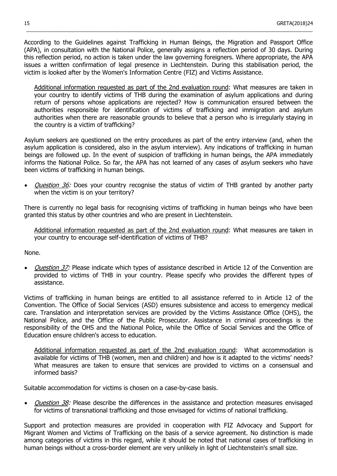According to the Guidelines against Trafficking in Human Beings, the Migration and Passport Office (APA), in consultation with the National Police, generally assigns a reflection period of 30 days. During this reflection period, no action is taken under the law governing foreigners. Where appropriate, the APA issues a written confirmation of legal presence in Liechtenstein. During this stabilisation period, the victim is looked after by the Women's Information Centre (FIZ) and Victims Assistance.

\_\_\_\_\_\_\_\_\_\_\_\_\_\_\_\_\_\_\_\_\_\_\_\_\_\_\_\_\_\_\_\_\_\_\_\_\_\_\_\_\_\_\_\_\_\_\_\_\_\_\_\_\_\_\_\_\_\_\_\_\_\_\_\_\_\_\_\_\_\_\_\_\_\_\_\_\_\_\_\_\_\_\_\_\_\_\_\_\_\_\_\_\_\_\_\_\_\_\_\_\_\_\_

Additional information requested as part of the 2nd evaluation round: What measures are taken in your country to identify victims of THB during the examination of asylum applications and during return of persons whose applications are rejected? How is communication ensured between the authorities responsible for identification of victims of trafficking and immigration and asylum authorities when there are reasonable grounds to believe that a person who is irregularly staying in the country is a victim of trafficking?

Asylum seekers are questioned on the entry procedures as part of the entry interview (and, when the asylum application is considered, also in the asylum interview). Any indications of trafficking in human beings are followed up. In the event of suspicion of trafficking in human beings, the APA immediately informs the National Police. So far, the APA has not learned of any cases of asylum seekers who have been victims of trafficking in human beings.

Question 36: Does your country recognise the status of victim of THB granted by another party when the victim is on your territory?

There is currently no legal basis for recognising victims of trafficking in human beings who have been granted this status by other countries and who are present in Liechtenstein.

Additional information requested as part of the 2nd evaluation round: What measures are taken in your country to encourage self-identification of victims of THB?

None.

Question 37: Please indicate which types of assistance described in Article 12 of the Convention are provided to victims of THB in your country. Please specify who provides the different types of assistance.

Victims of trafficking in human beings are entitled to all assistance referred to in Article 12 of the Convention. The Office of Social Services (ASD) ensures subsistence and access to emergency medical care. Translation and interpretation services are provided by the Victims Assistance Office (OHS), the National Police, and the Office of the Public Prosecutor. Assistance in criminal proceedings is the responsibility of the OHS and the National Police, while the Office of Social Services and the Office of Education ensure children's access to education.

Additional information requested as part of the 2nd evaluation round: What accommodation is available for victims of THB (women, men and children) and how is it adapted to the victims' needs? What measures are taken to ensure that services are provided to victims on a consensual and informed basis?

Suitable accommodation for victims is chosen on a case-by-case basis.

• *Question 38:* Please describe the differences in the assistance and protection measures envisaged for victims of transnational trafficking and those envisaged for victims of national trafficking.

Support and protection measures are provided in cooperation with FIZ Advocacy and Support for Migrant Women and Victims of Trafficking on the basis of a service agreement. No distinction is made among categories of victims in this regard, while it should be noted that national cases of trafficking in human beings without a cross-border element are very unlikely in light of Liechtenstein's small size.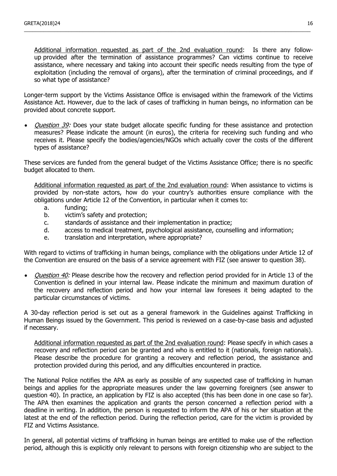Additional information requested as part of the 2nd evaluation round: Is there any followup provided after the termination of assistance programmes? Can victims continue to receive assistance, where necessary and taking into account their specific needs resulting from the type of exploitation (including the removal of organs), after the termination of criminal proceedings, and if so what type of assistance?

\_\_\_\_\_\_\_\_\_\_\_\_\_\_\_\_\_\_\_\_\_\_\_\_\_\_\_\_\_\_\_\_\_\_\_\_\_\_\_\_\_\_\_\_\_\_\_\_\_\_\_\_\_\_\_\_\_\_\_\_\_\_\_\_\_\_\_\_\_\_\_\_\_\_\_\_\_\_\_\_\_\_\_\_\_\_\_\_\_\_\_\_\_\_\_\_\_\_\_\_\_\_\_

Longer-term support by the Victims Assistance Office is envisaged within the framework of the Victims Assistance Act. However, due to the lack of cases of trafficking in human beings, no information can be provided about concrete support.

*Question 39:* Does your state budget allocate specific funding for these assistance and protection measures? Please indicate the amount (in euros), the criteria for receiving such funding and who receives it. Please specify the bodies/agencies/NGOs which actually cover the costs of the different types of assistance?

These services are funded from the general budget of the Victims Assistance Office; there is no specific budget allocated to them.

Additional information requested as part of the 2nd evaluation round: When assistance to victims is provided by non-state actors, how do your country's authorities ensure compliance with the obligations under Article 12 of the Convention, in particular when it comes to:

- a. funding;
- b. victim's safety and protection;
- c. standards of assistance and their implementation in practice;
- d. access to medical treatment, psychological assistance, counselling and information;
- e. translation and interpretation, where appropriate?

With regard to victims of trafficking in human beings, compliance with the obligations under Article 12 of the Convention are ensured on the basis of a service agreement with FIZ (see answer to question 38).

• *Question 40:* Please describe how the recovery and reflection period provided for in Article 13 of the Convention is defined in your internal law. Please indicate the minimum and maximum duration of the recovery and reflection period and how your internal law foresees it being adapted to the particular circumstances of victims.

A 30-day reflection period is set out as a general framework in the Guidelines against Trafficking in Human Beings issued by the Government. This period is reviewed on a case-by-case basis and adjusted if necessary.

Additional information requested as part of the 2nd evaluation round: Please specify in which cases a recovery and reflection period can be granted and who is entitled to it (nationals, foreign nationals). Please describe the procedure for granting a recovery and reflection period, the assistance and protection provided during this period, and any difficulties encountered in practice.

The National Police notifies the APA as early as possible of any suspected case of trafficking in human beings and applies for the appropriate measures under the law governing foreigners (see answer to question 40). In practice, an application by FIZ is also accepted (this has been done in one case so far). The APA then examines the application and grants the person concerned a reflection period with a deadline in writing. In addition, the person is requested to inform the APA of his or her situation at the latest at the end of the reflection period. During the reflection period, care for the victim is provided by FIZ and Victims Assistance.

In general, all potential victims of trafficking in human beings are entitled to make use of the reflection period, although this is explicitly only relevant to persons with foreign citizenship who are subject to the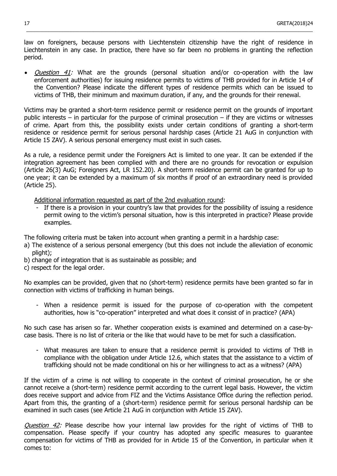law on foreigners, because persons with Liechtenstein citizenship have the right of residence in Liechtenstein in any case. In practice, there have so far been no problems in granting the reflection period.

\_\_\_\_\_\_\_\_\_\_\_\_\_\_\_\_\_\_\_\_\_\_\_\_\_\_\_\_\_\_\_\_\_\_\_\_\_\_\_\_\_\_\_\_\_\_\_\_\_\_\_\_\_\_\_\_\_\_\_\_\_\_\_\_\_\_\_\_\_\_\_\_\_\_\_\_\_\_\_\_\_\_\_\_\_\_\_\_\_\_\_\_\_\_\_\_\_\_\_\_\_\_\_

• *Question 41:* What are the grounds (personal situation and/or co-operation with the law enforcement authorities) for issuing residence permits to victims of THB provided for in Article 14 of the Convention? Please indicate the different types of residence permits which can be issued to victims of THB, their minimum and maximum duration, if any, and the grounds for their renewal.

Victims may be granted a short-term residence permit or residence permit on the grounds of important public interests – in particular for the purpose of criminal prosecution – if they are victims or witnesses of crime. Apart from this, the possibility exists under certain conditions of granting a short-term residence or residence permit for serious personal hardship cases (Article 21 AuG in conjunction with Article 15 ZAV). A serious personal emergency must exist in such cases.

As a rule, a residence permit under the Foreigners Act is limited to one year. It can be extended if the integration agreement has been complied with and there are no grounds for revocation or expulsion (Article 26(3) AuG; Foreigners Act, LR 152.20). A short-term residence permit can be granted for up to one year; it can be extended by a maximum of six months if proof of an extraordinary need is provided (Article 25).

Additional information requested as part of the 2nd evaluation round:

If there is a provision in your country's law that provides for the possibility of issuing a residence permit owing to the victim's personal situation, how is this interpreted in practice? Please provide examples.

The following criteria must be taken into account when granting a permit in a hardship case:

- a) The existence of a serious personal emergency (but this does not include the alleviation of economic plight);
- b) change of integration that is as sustainable as possible; and
- c) respect for the legal order.

No examples can be provided, given that no (short-term) residence permits have been granted so far in connection with victims of trafficking in human beings.

- When a residence permit is issued for the purpose of co-operation with the competent authorities, how is "co-operation" interpreted and what does it consist of in practice? (APA)

No such case has arisen so far. Whether cooperation exists is examined and determined on a case-bycase basis. There is no list of criteria or the like that would have to be met for such a classification.

- What measures are taken to ensure that a residence permit is provided to victims of THB in compliance with the obligation under Article 12.6, which states that the assistance to a victim of trafficking should not be made conditional on his or her willingness to act as a witness? (APA)

If the victim of a crime is not willing to cooperate in the context of criminal prosecution, he or she cannot receive a (short-term) residence permit according to the current legal basis. However, the victim does receive support and advice from FIZ and the Victims Assistance Office during the reflection period. Apart from this, the granting of a (short-term) residence permit for serious personal hardship can be examined in such cases (see Article 21 AuG in conjunction with Article 15 ZAV).

Question 42: Please describe how your internal law provides for the right of victims of THB to compensation. Please specify if your country has adopted any specific measures to guarantee compensation for victims of THB as provided for in Article 15 of the Convention, in particular when it comes to: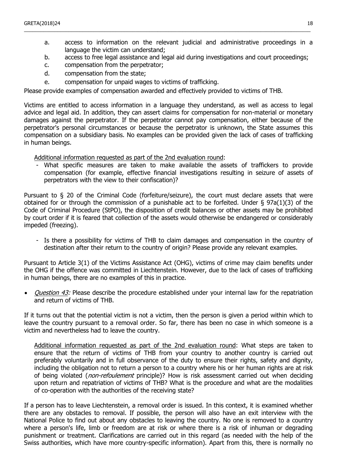- a. access to information on the relevant judicial and administrative proceedings in a language the victim can understand;
- b. access to free legal assistance and legal aid during investigations and court proceedings;

\_\_\_\_\_\_\_\_\_\_\_\_\_\_\_\_\_\_\_\_\_\_\_\_\_\_\_\_\_\_\_\_\_\_\_\_\_\_\_\_\_\_\_\_\_\_\_\_\_\_\_\_\_\_\_\_\_\_\_\_\_\_\_\_\_\_\_\_\_\_\_\_\_\_\_\_\_\_\_\_\_\_\_\_\_\_\_\_\_\_\_\_\_\_\_\_\_\_\_\_\_\_\_

- c. compensation from the perpetrator;
- d. compensation from the state;
- e. compensation for unpaid wages to victims of trafficking.

Please provide examples of compensation awarded and effectively provided to victims of THB.

Victims are entitled to access information in a language they understand, as well as access to legal advice and legal aid. In addition, they can assert claims for compensation for non-material or monetary damages against the perpetrator. If the perpetrator cannot pay compensation, either because of the perpetrator's personal circumstances or because the perpetrator is unknown, the State assumes this compensation on a subsidiary basis. No examples can be provided given the lack of cases of trafficking in human beings.

Additional information requested as part of the 2nd evaluation round:

What specific measures are taken to make available the assets of traffickers to provide compensation (for example, effective financial investigations resulting in seizure of assets of perpetrators with the view to their confiscation)?

Pursuant to § 20 of the Criminal Code (forfeiture/seizure), the court must declare assets that were obtained for or through the commission of a punishable act to be forfeited. Under § 97a(1)(3) of the Code of Criminal Procedure (StPO), the disposition of credit balances or other assets may be prohibited by court order if it is feared that collection of the assets would otherwise be endangered or considerably impeded (freezing).

Is there a possibility for victims of THB to claim damages and compensation in the country of destination after their return to the country of origin? Please provide any relevant examples.

Pursuant to Article 3(1) of the Victims Assistance Act (OHG), victims of crime may claim benefits under the OHG if the offence was committed in Liechtenstein. However, due to the lack of cases of trafficking in human beings, there are no examples of this in practice.

• *Question 43:* Please describe the procedure established under your internal law for the repatriation and return of victims of THB.

If it turns out that the potential victim is not a victim, then the person is given a period within which to leave the country pursuant to a removal order. So far, there has been no case in which someone is a victim and nevertheless had to leave the country.

Additional information requested as part of the 2nd evaluation round: What steps are taken to ensure that the return of victims of THB from your country to another country is carried out preferably voluntarily and in full observance of the duty to ensure their rights, safety and dignity, including the obligation not to return a person to a country where his or her human rights are at risk of being violated (*non-refoulement* principle)? How is risk assessment carried out when deciding upon return and repatriation of victims of THB? What is the procedure and what are the modalities of co-operation with the authorities of the receiving state?

If a person has to leave Liechtenstein, a removal order is issued. In this context, it is examined whether there are any obstacles to removal. If possible, the person will also have an exit interview with the National Police to find out about any obstacles to leaving the country. No one is removed to a country where a person's life, limb or freedom are at risk or where there is a risk of inhuman or degrading punishment or treatment. Clarifications are carried out in this regard (as needed with the help of the Swiss authorities, which have more country-specific information). Apart from this, there is normally no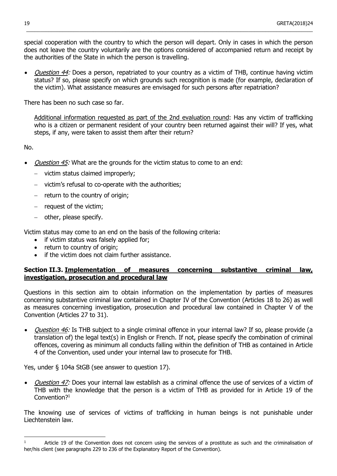special cooperation with the country to which the person will depart. Only in cases in which the person does not leave the country voluntarily are the options considered of accompanied return and receipt by the authorities of the State in which the person is travelling.

 $\_$  ,  $\_$  ,  $\_$  ,  $\_$  ,  $\_$  ,  $\_$  ,  $\_$  ,  $\_$  ,  $\_$  ,  $\_$  ,  $\_$  ,  $\_$  ,  $\_$  ,  $\_$  ,  $\_$  ,  $\_$  ,  $\_$  ,  $\_$  ,  $\_$  ,  $\_$  ,  $\_$  ,  $\_$  ,  $\_$  ,  $\_$  ,  $\_$  ,  $\_$  ,  $\_$  ,  $\_$  ,  $\_$  ,  $\_$  ,  $\_$  ,  $\_$  ,  $\_$  ,  $\_$  ,  $\_$  ,  $\_$  ,  $\_$  ,

• *Question 44:* Does a person, repatriated to your country as a victim of THB, continue having victim status? If so, please specify on which grounds such recognition is made (for example, declaration of the victim). What assistance measures are envisaged for such persons after repatriation?

There has been no such case so far.

Additional information requested as part of the 2nd evaluation round: Has any victim of trafficking who is a citizen or permanent resident of your country been returned against their will? If yes, what steps, if any, were taken to assist them after their return?

No.

 $\overline{a}$ 

- Question 45: What are the grounds for the victim status to come to an end:
	- victim status claimed improperly;
	- victim's refusal to co-operate with the authorities;
	- return to the country of origin;
	- $-$  request of the victim;
	- $-$  other, please specify.

Victim status may come to an end on the basis of the following criteria:

- if victim status was falsely applied for;
- return to country of origin;
- if the victim does not claim further assistance.

#### **Section II.3. Implementation of measures concerning substantive criminal law, investigation, prosecution and procedural law**

Questions in this section aim to obtain information on the implementation by parties of measures concerning substantive criminal law contained in Chapter IV of the Convention (Articles 18 to 26) as well as measures concerning investigation, prosecution and procedural law contained in Chapter V of the Convention (Articles 27 to 31).

• *Question 46:* Is THB subject to a single criminal offence in your internal law? If so, please provide (a translation of) the legal text(s) in English or French. If not, please specify the combination of criminal offences, covering as minimum all conducts falling within the definition of THB as contained in Article 4 of the Convention, used under your internal law to prosecute for THB.

Yes, under § 104a StGB (see answer to question 17).

• *Question 47:* Does your internal law establish as a criminal offence the use of services of a victim of THB with the knowledge that the person is a victim of THB as provided for in Article 19 of the Convention?<sup>1</sup>

The knowing use of services of victims of trafficking in human beings is not punishable under Liechtenstein law.

 $1$  Article 19 of the Convention does not concern using the services of a prostitute as such and the criminalisation of her/his client (see paragraphs 229 to 236 of the Explanatory Report of the Convention).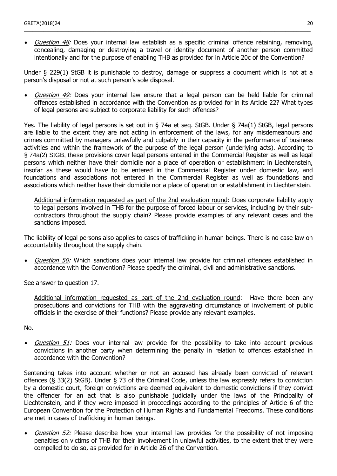• *Question 48:* Does your internal law establish as a specific criminal offence retaining, removing, concealing, damaging or destroying a travel or identity document of another person committed intentionally and for the purpose of enabling THB as provided for in Article 20c of the Convention?

\_\_\_\_\_\_\_\_\_\_\_\_\_\_\_\_\_\_\_\_\_\_\_\_\_\_\_\_\_\_\_\_\_\_\_\_\_\_\_\_\_\_\_\_\_\_\_\_\_\_\_\_\_\_\_\_\_\_\_\_\_\_\_\_\_\_\_\_\_\_\_\_\_\_\_\_\_\_\_\_\_\_\_\_\_\_\_\_\_\_\_\_\_\_\_\_\_\_\_\_\_\_\_

Under § 229(1) StGB it is punishable to destroy, damage or suppress a document which is not at a person's disposal or not at such person's sole disposal.

• *Question 49:* Does your internal law ensure that a legal person can be held liable for criminal offences established in accordance with the Convention as provided for in its Article 22? What types of legal persons are subject to corporate liability for such offences?

Yes. The liability of legal persons is set out in § 74a et seq. StGB. Under § 74a(1) StGB, legal persons are liable to the extent they are not acting in enforcement of the laws, for any misdemeanours and crimes committed by managers unlawfully and culpably in their capacity in the performance of business activities and within the framework of the purpose of the legal person (underlying acts). According to § 74a(2) StGB, these provisions cover legal persons entered in the Commercial Register as well as legal persons which neither have their domicile nor a place of operation or establishment in Liechtenstein, insofar as these would have to be entered in the Commercial Register under domestic law, and foundations and associations not entered in the Commercial Register as well as foundations and associations which neither have their domicile nor a place of operation or establishment in Liechtenstein.

Additional information requested as part of the 2nd evaluation round: Does corporate liability apply to legal persons involved in THB for the purpose of forced labour or services, including by their subcontractors throughout the supply chain? Please provide examples of any relevant cases and the sanctions imposed.

The liability of legal persons also applies to cases of trafficking in human beings. There is no case law on accountability throughout the supply chain.

Question 50: Which sanctions does your internal law provide for criminal offences established in accordance with the Convention? Please specify the criminal, civil and administrative sanctions.

See answer to question 17.

Additional information requested as part of the 2nd evaluation round: Have there been any prosecutions and convictions for THB with the aggravating circumstance of involvement of public officials in the exercise of their functions? Please provide any relevant examples.

No.

• *Question 51:* Does your internal law provide for the possibility to take into account previous convictions in another party when determining the penalty in relation to offences established in accordance with the Convention?

Sentencing takes into account whether or not an accused has already been convicted of relevant offences (§ 33(2) StGB). Under § 73 of the Criminal Code, unless the law expressly refers to conviction by a domestic court, foreign convictions are deemed equivalent to domestic convictions if they convict the offender for an act that is also punishable judicially under the laws of the Principality of Liechtenstein, and if they were imposed in proceedings according to the principles of Article 6 of the European Convention for the Protection of Human Rights and Fundamental Freedoms. These conditions are met in cases of trafficking in human beings.

Question 52: Please describe how your internal law provides for the possibility of not imposing penalties on victims of THB for their involvement in unlawful activities, to the extent that they were compelled to do so, as provided for in Article 26 of the Convention.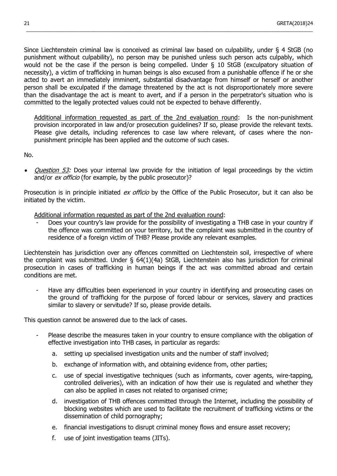Since Liechtenstein criminal law is conceived as criminal law based on culpability, under § 4 StGB (no punishment without culpability), no person may be punished unless such person acts culpably, which would not be the case if the person is being compelled. Under § 10 StGB (exculpatory situation of necessity), a victim of trafficking in human beings is also excused from a punishable offence if he or she acted to avert an immediately imminent, substantial disadvantage from himself or herself or another person shall be exculpated if the damage threatened by the act is not disproportionately more severe than the disadvantage the act is meant to avert, and if a person in the perpetrator's situation who is committed to the legally protected values could not be expected to behave differently.

 $\_$  ,  $\_$  ,  $\_$  ,  $\_$  ,  $\_$  ,  $\_$  ,  $\_$  ,  $\_$  ,  $\_$  ,  $\_$  ,  $\_$  ,  $\_$  ,  $\_$  ,  $\_$  ,  $\_$  ,  $\_$  ,  $\_$  ,  $\_$  ,  $\_$  ,  $\_$  ,  $\_$  ,  $\_$  ,  $\_$  ,  $\_$  ,  $\_$  ,  $\_$  ,  $\_$  ,  $\_$  ,  $\_$  ,  $\_$  ,  $\_$  ,  $\_$  ,  $\_$  ,  $\_$  ,  $\_$  ,  $\_$  ,  $\_$  ,

Additional information requested as part of the 2nd evaluation round: Is the non-punishment provision incorporated in law and/or prosecution guidelines? If so, please provide the relevant texts. Please give details, including references to case law where relevant, of cases where the nonpunishment principle has been applied and the outcome of such cases.

No.

Question 53: Does your internal law provide for the initiation of legal proceedings by the victim and/or *ex officio* (for example, by the public prosecutor)?

Prosecution is in principle initiated ex officio by the Office of the Public Prosecutor, but it can also be initiated by the victim.

Additional information requested as part of the 2nd evaluation round:

Does your country's law provide for the possibility of investigating a THB case in your country if the offence was committed on your territory, but the complaint was submitted in the country of residence of a foreign victim of THB? Please provide any relevant examples.

Liechtenstein has jurisdiction over any offences committed on Liechtenstein soil, irrespective of where the complaint was submitted. Under § 64(1)(4a) StGB, Liechtenstein also has jurisdiction for criminal prosecution in cases of trafficking in human beings if the act was committed abroad and certain conditions are met.

Have any difficulties been experienced in your country in identifying and prosecuting cases on the ground of trafficking for the purpose of forced labour or services, slavery and practices similar to slavery or servitude? If so, please provide details.

This question cannot be answered due to the lack of cases.

- Please describe the measures taken in your country to ensure compliance with the obligation of effective investigation into THB cases, in particular as regards:
	- a. setting up specialised investigation units and the number of staff involved;
	- b. exchange of information with, and obtaining evidence from, other parties;
	- c. use of special investigative techniques (such as informants, cover agents, wire-tapping, controlled deliveries), with an indication of how their use is regulated and whether they can also be applied in cases not related to organised crime;
	- d. investigation of THB offences committed through the Internet, including the possibility of blocking websites which are used to facilitate the recruitment of trafficking victims or the dissemination of child pornography;
	- e. financial investigations to disrupt criminal money flows and ensure asset recovery;
	- f. use of joint investigation teams (JITs).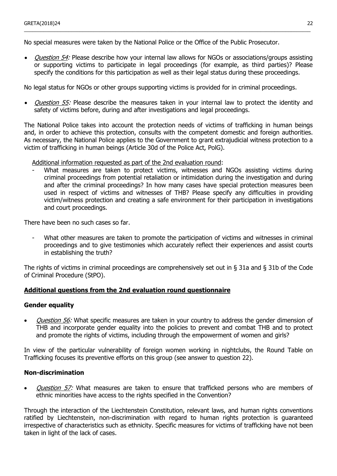No special measures were taken by the National Police or the Office of the Public Prosecutor.

Question 54: Please describe how your internal law allows for NGOs or associations/groups assisting or supporting victims to participate in legal proceedings (for example, as third parties)? Please specify the conditions for this participation as well as their legal status during these proceedings.

\_\_\_\_\_\_\_\_\_\_\_\_\_\_\_\_\_\_\_\_\_\_\_\_\_\_\_\_\_\_\_\_\_\_\_\_\_\_\_\_\_\_\_\_\_\_\_\_\_\_\_\_\_\_\_\_\_\_\_\_\_\_\_\_\_\_\_\_\_\_\_\_\_\_\_\_\_\_\_\_\_\_\_\_\_\_\_\_\_\_\_\_\_\_\_\_\_\_\_\_\_\_\_

No legal status for NGOs or other groups supporting victims is provided for in criminal proceedings.

• *Question 55:* Please describe the measures taken in your internal law to protect the identity and safety of victims before, during and after investigations and legal proceedings.

The National Police takes into account the protection needs of victims of trafficking in human beings and, in order to achieve this protection, consults with the competent domestic and foreign authorities. As necessary, the National Police applies to the Government to grant extrajudicial witness protection to a victim of trafficking in human beings (Article 30d of the Police Act, PolG).

Additional information requested as part of the 2nd evaluation round:

What measures are taken to protect victims, witnesses and NGOs assisting victims during criminal proceedings from potential retaliation or intimidation during the investigation and during and after the criminal proceedings? In how many cases have special protection measures been used in respect of victims and witnesses of THB? Please specify any difficulties in providing victim/witness protection and creating a safe environment for their participation in investigations and court proceedings.

There have been no such cases so far.

What other measures are taken to promote the participation of victims and witnesses in criminal proceedings and to give testimonies which accurately reflect their experiences and assist courts in establishing the truth?

The rights of victims in criminal proceedings are comprehensively set out in § 31a and § 31b of the Code of Criminal Procedure (StPO).

#### **Additional questions from the 2nd evaluation round questionnaire**

#### **Gender equality**

Question 56: What specific measures are taken in your country to address the gender dimension of THB and incorporate gender equality into the policies to prevent and combat THB and to protect and promote the rights of victims, including through the empowerment of women and girls?

In view of the particular vulnerability of foreign women working in nightclubs, the Round Table on Trafficking focuses its preventive efforts on this group (see answer to question 22).

#### **Non-discrimination**

Question 57: What measures are taken to ensure that trafficked persons who are members of ethnic minorities have access to the rights specified in the Convention?

Through the interaction of the Liechtenstein Constitution, relevant laws, and human rights conventions ratified by Liechtenstein, non-discrimination with regard to human rights protection is guaranteed irrespective of characteristics such as ethnicity. Specific measures for victims of trafficking have not been taken in light of the lack of cases.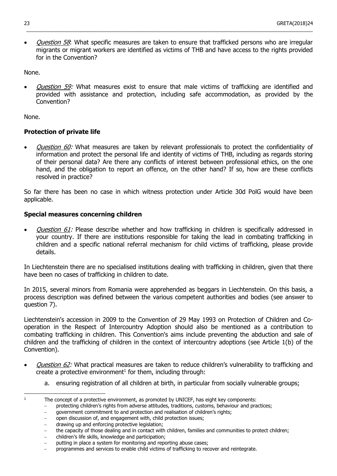Question 58: What specific measures are taken to ensure that trafficked persons who are irregular migrants or migrant workers are identified as victims of THB and have access to the rights provided for in the Convention?

 $\_$  ,  $\_$  ,  $\_$  ,  $\_$  ,  $\_$  ,  $\_$  ,  $\_$  ,  $\_$  ,  $\_$  ,  $\_$  ,  $\_$  ,  $\_$  ,  $\_$  ,  $\_$  ,  $\_$  ,  $\_$  ,  $\_$  ,  $\_$  ,  $\_$  ,  $\_$  ,  $\_$  ,  $\_$  ,  $\_$  ,  $\_$  ,  $\_$  ,  $\_$  ,  $\_$  ,  $\_$  ,  $\_$  ,  $\_$  ,  $\_$  ,  $\_$  ,  $\_$  ,  $\_$  ,  $\_$  ,  $\_$  ,  $\_$  ,

None.

Question 59: What measures exist to ensure that male victims of trafficking are identified and provided with assistance and protection, including safe accommodation, as provided by the Convention?

None.

#### **Protection of private life**

Question 60: What measures are taken by relevant professionals to protect the confidentiality of information and protect the personal life and identity of victims of THB, including as regards storing of their personal data? Are there any conflicts of interest between professional ethics, on the one hand, and the obligation to report an offence, on the other hand? If so, how are these conflicts resolved in practice?

So far there has been no case in which witness protection under Article 30d PolG would have been applicable.

#### **Special measures concerning children**

Question 61: Please describe whether and how trafficking in children is specifically addressed in your country. If there are institutions responsible for taking the lead in combating trafficking in children and a specific national referral mechanism for child victims of trafficking, please provide details.

In Liechtenstein there are no specialised institutions dealing with trafficking in children, given that there have been no cases of trafficking in children to date.

In 2015, several minors from Romania were apprehended as beggars in Liechtenstein. On this basis, a process description was defined between the various competent authorities and bodies (see answer to question 7).

Liechtenstein's accession in 2009 to the Convention of 29 May 1993 on Protection of Children and Cooperation in the Respect of Intercountry Adoption should also be mentioned as a contribution to combating trafficking in children. This Convention's aims include preventing the abduction and sale of children and the trafficking of children in the context of intercountry adoptions (see Article 1(b) of the Convention).

- Question 62: What practical measures are taken to reduce children's vulnerability to trafficking and create a protective environment<sup>1</sup> for them, including through:
	- a. ensuring registration of all children at birth, in particular from socially vulnerable groups;

- government commitment to and protection and realisation of children's rights;
- open discussion of, and engagement with, child protection issues;
- drawing up and enforcing protective legislation;
- the capacity of those dealing and in contact with children, families and communities to protect children;
- children's life skills, knowledge and participation;
- putting in place a system for monitoring and reporting abuse cases;

 $\mathbf{1}$ The concept of a protective environment, as promoted by UNICEF, has eight key components:

protecting children's rights from adverse attitudes, traditions, customs, behaviour and practices;

programmes and services to enable child victims of trafficking to recover and reintegrate.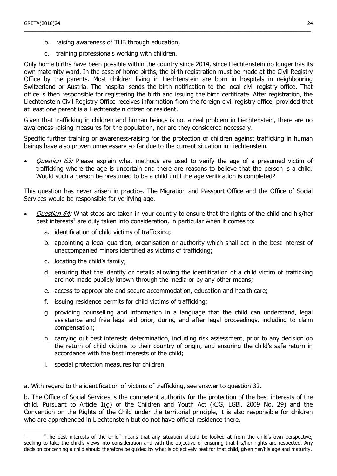- b. raising awareness of THB through education;
- c. training professionals working with children.

Only home births have been possible within the country since 2014, since Liechtenstein no longer has its own maternity ward. In the case of home births, the birth registration must be made at the Civil Registry Office by the parents. Most children living in Liechtenstein are born in hospitals in neighbouring Switzerland or Austria. The hospital sends the birth notification to the local civil registry office. That office is then responsible for registering the birth and issuing the birth certificate. After registration, the Liechtenstein Civil Registry Office receives information from the foreign civil registry office, provided that at least one parent is a Liechtenstein citizen or resident.

\_\_\_\_\_\_\_\_\_\_\_\_\_\_\_\_\_\_\_\_\_\_\_\_\_\_\_\_\_\_\_\_\_\_\_\_\_\_\_\_\_\_\_\_\_\_\_\_\_\_\_\_\_\_\_\_\_\_\_\_\_\_\_\_\_\_\_\_\_\_\_\_\_\_\_\_\_\_\_\_\_\_\_\_\_\_\_\_\_\_\_\_\_\_\_\_\_\_\_\_\_\_\_

Given that trafficking in children and human beings is not a real problem in Liechtenstein, there are no awareness-raising measures for the population, nor are they considered necessary.

Specific further training or awareness-raising for the protection of children against trafficking in human beings have also proven unnecessary so far due to the current situation in Liechtenstein.

Question 63: Please explain what methods are used to verify the age of a presumed victim of trafficking where the age is uncertain and there are reasons to believe that the person is a child. Would such a person be presumed to be a child until the age verification is completed?

This question has never arisen in practice. The Migration and Passport Office and the Office of Social Services would be responsible for verifying age.

- Question 64: What steps are taken in your country to ensure that the rights of the child and his/her best interests<sup>1</sup> are duly taken into consideration, in particular when it comes to:
	- a. identification of child victims of trafficking;
	- b. appointing a legal guardian, organisation or authority which shall act in the best interest of unaccompanied minors identified as victims of trafficking;
	- c. locating the child's family;
	- d. ensuring that the identity or details allowing the identification of a child victim of trafficking are not made publicly known through the media or by any other means;
	- e. access to appropriate and secure accommodation, education and health care;
	- f. issuing residence permits for child victims of trafficking;
	- g. providing counselling and information in a language that the child can understand, legal assistance and free legal aid prior, during and after legal proceedings, including to claim compensation;
	- h. carrying out best interests determination, including risk assessment, prior to any decision on the return of child victims to their country of origin, and ensuring the child's safe return in accordance with the best interests of the child;
	- i. special protection measures for children.

 $\overline{a}$ 

a. With regard to the identification of victims of trafficking, see answer to question 32.

b. The Office of Social Services is the competent authority for the protection of the best interests of the child. Pursuant to Article 1(g) of the Children and Youth Act (KJG, LGBl. 2009 No. 29) and the Convention on the Rights of the Child under the territorial principle, it is also responsible for children who are apprehended in Liechtenstein but do not have official residence there.

<sup>1</sup> "The best interests of the child" means that any situation should be looked at from the child's own perspective, seeking to take the child's views into consideration and with the objective of ensuring that his/her rights are respected. Any decision concerning a child should therefore be guided by what is objectively best for that child, given her/his age and maturity.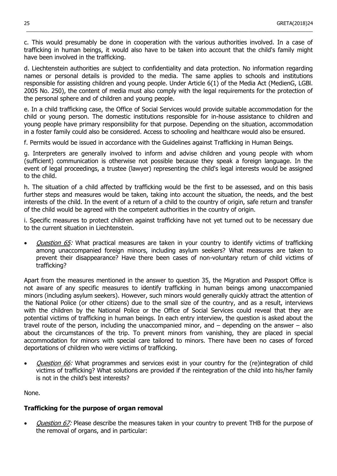c. This would presumably be done in cooperation with the various authorities involved. In a case of trafficking in human beings, it would also have to be taken into account that the child's family might have been involved in the trafficking.

 $\_$  ,  $\_$  ,  $\_$  ,  $\_$  ,  $\_$  ,  $\_$  ,  $\_$  ,  $\_$  ,  $\_$  ,  $\_$  ,  $\_$  ,  $\_$  ,  $\_$  ,  $\_$  ,  $\_$  ,  $\_$  ,  $\_$  ,  $\_$  ,  $\_$  ,  $\_$  ,  $\_$  ,  $\_$  ,  $\_$  ,  $\_$  ,  $\_$  ,  $\_$  ,  $\_$  ,  $\_$  ,  $\_$  ,  $\_$  ,  $\_$  ,  $\_$  ,  $\_$  ,  $\_$  ,  $\_$  ,  $\_$  ,  $\_$  ,

d. Liechtenstein authorities are subject to confidentiality and data protection. No information regarding names or personal details is provided to the media. The same applies to schools and institutions responsible for assisting children and young people. Under Article 6(1) of the Media Act (MedienG, LGBl. 2005 No. 250), the content of media must also comply with the legal requirements for the protection of the personal sphere and of children and young people.

e. In a child trafficking case, the Office of Social Services would provide suitable accommodation for the child or young person. The domestic institutions responsible for in-house assistance to children and young people have primary responsibility for that purpose. Depending on the situation, accommodation in a foster family could also be considered. Access to schooling and healthcare would also be ensured.

f. Permits would be issued in accordance with the Guidelines against Trafficking in Human Beings.

g. Interpreters are generally involved to inform and advise children and young people with whom (sufficient) communication is otherwise not possible because they speak a foreign language. In the event of legal proceedings, a trustee (lawyer) representing the child's legal interests would be assigned to the child.

h. The situation of a child affected by trafficking would be the first to be assessed, and on this basis further steps and measures would be taken, taking into account the situation, the needs, and the best interests of the child. In the event of a return of a child to the country of origin, safe return and transfer of the child would be agreed with the competent authorities in the country of origin.

i. Specific measures to protect children against trafficking have not yet turned out to be necessary due to the current situation in Liechtenstein.

Question 65: What practical measures are taken in your country to identify victims of trafficking among unaccompanied foreign minors, including asylum seekers? What measures are taken to prevent their disappearance? Have there been cases of non-voluntary return of child victims of trafficking?

Apart from the measures mentioned in the answer to question 35, the Migration and Passport Office is not aware of any specific measures to identify trafficking in human beings among unaccompanied minors (including asylum seekers). However, such minors would generally quickly attract the attention of the National Police (or other citizens) due to the small size of the country, and as a result, interviews with the children by the National Police or the Office of Social Services could reveal that they are potential victims of trafficking in human beings. In each entry interview, the question is asked about the travel route of the person, including the unaccompanied minor, and – depending on the answer – also about the circumstances of the trip. To prevent minors from vanishing, they are placed in special accommodation for minors with special care tailored to minors. There have been no cases of forced deportations of children who were victims of trafficking.

Question 66: What programmes and services exist in your country for the (re)integration of child victims of trafficking? What solutions are provided if the reintegration of the child into his/her family is not in the child's best interests?

None.

#### **Trafficking for the purpose of organ removal**

Question 67: Please describe the measures taken in your country to prevent THB for the purpose of the removal of organs, and in particular: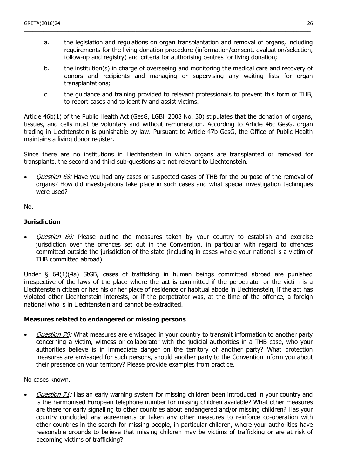a. the legislation and regulations on organ transplantation and removal of organs, including requirements for the living donation procedure (information/consent, evaluation/selection, follow-up and registry) and criteria for authorising centres for living donation;

\_\_\_\_\_\_\_\_\_\_\_\_\_\_\_\_\_\_\_\_\_\_\_\_\_\_\_\_\_\_\_\_\_\_\_\_\_\_\_\_\_\_\_\_\_\_\_\_\_\_\_\_\_\_\_\_\_\_\_\_\_\_\_\_\_\_\_\_\_\_\_\_\_\_\_\_\_\_\_\_\_\_\_\_\_\_\_\_\_\_\_\_\_\_\_\_\_\_\_\_\_\_\_

- b. the institution(s) in charge of overseeing and monitoring the medical care and recovery of donors and recipients and managing or supervising any waiting lists for organ transplantations;
- c. the guidance and training provided to relevant professionals to prevent this form of THB, to report cases and to identify and assist victims.

Article 46b(1) of the Public Health Act (GesG, LGBl. 2008 No. 30) stipulates that the donation of organs, tissues, and cells must be voluntary and without remuneration. According to Article 46c GesG, organ trading in Liechtenstein is punishable by law. Pursuant to Article 47b GesG, the Office of Public Health maintains a living donor register.

Since there are no institutions in Liechtenstein in which organs are transplanted or removed for transplants, the second and third sub-questions are not relevant to Liechtenstein.

Question 68: Have you had any cases or suspected cases of THB for the purpose of the removal of organs? How did investigations take place in such cases and what special investigation techniques were used?

No.

#### **Jurisdiction**

Question 69: Please outline the measures taken by your country to establish and exercise jurisdiction over the offences set out in the Convention, in particular with regard to offences committed outside the jurisdiction of the state (including in cases where your national is a victim of THB committed abroad).

Under § 64(1)(4a) StGB, cases of trafficking in human beings committed abroad are punished irrespective of the laws of the place where the act is committed if the perpetrator or the victim is a Liechtenstein citizen or has his or her place of residence or habitual abode in Liechtenstein, if the act has violated other Liechtenstein interests, or if the perpetrator was, at the time of the offence, a foreign national who is in Liechtenstein and cannot be extradited.

#### **Measures related to endangered or missing persons**

• Question 70: What measures are envisaged in your country to transmit information to another party concerning a victim, witness or collaborator with the judicial authorities in a THB case, who your authorities believe is in immediate danger on the territory of another party? What protection measures are envisaged for such persons, should another party to the Convention inform you about their presence on your territory? Please provide examples from practice.

No cases known.

Question 71: Has an early warning system for missing children been introduced in your country and is the harmonised European telephone number for missing children available? What other measures are there for early signalling to other countries about endangered and/or missing children? Has your country concluded any agreements or taken any other measures to reinforce co-operation with other countries in the search for missing people, in particular children, where your authorities have reasonable grounds to believe that missing children may be victims of trafficking or are at risk of becoming victims of trafficking?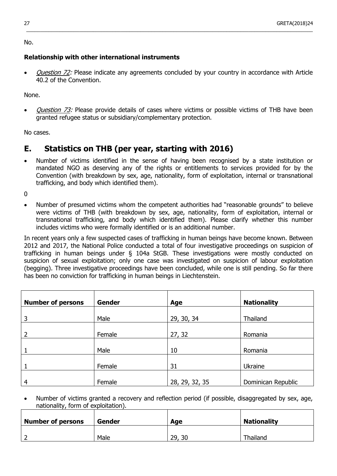No.

#### **Relationship with other international instruments**

*Question 72:* Please indicate any agreements concluded by your country in accordance with Article 40.2 of the Convention.

 $\_$  ,  $\_$  ,  $\_$  ,  $\_$  ,  $\_$  ,  $\_$  ,  $\_$  ,  $\_$  ,  $\_$  ,  $\_$  ,  $\_$  ,  $\_$  ,  $\_$  ,  $\_$  ,  $\_$  ,  $\_$  ,  $\_$  ,  $\_$  ,  $\_$  ,  $\_$  ,  $\_$  ,  $\_$  ,  $\_$  ,  $\_$  ,  $\_$  ,  $\_$  ,  $\_$  ,  $\_$  ,  $\_$  ,  $\_$  ,  $\_$  ,  $\_$  ,  $\_$  ,  $\_$  ,  $\_$  ,  $\_$  ,  $\_$  ,

None.

Question 73: Please provide details of cases where victims or possible victims of THB have been granted refugee status or subsidiary/complementary protection.

No cases.

## **E. Statistics on THB (per year, starting with 2016)**

 Number of victims identified in the sense of having been recognised by a state institution or mandated NGO as deserving any of the rights or entitlements to services provided for by the Convention (with breakdown by sex, age, nationality, form of exploitation, internal or transnational trafficking, and body which identified them).

0

 Number of presumed victims whom the competent authorities had "reasonable grounds" to believe were victims of THB (with breakdown by sex, age, nationality, form of exploitation, internal or transnational trafficking, and body which identified them). Please clarify whether this number includes victims who were formally identified or is an additional number.

In recent years only a few suspected cases of trafficking in human beings have become known. Between 2012 and 2017, the National Police conducted a total of four investigative proceedings on suspicion of trafficking in human beings under § 104a StGB. These investigations were mostly conducted on suspicion of sexual exploitation; only one case was investigated on suspicion of labour exploitation (begging). Three investigative proceedings have been concluded, while one is still pending. So far there has been no conviction for trafficking in human beings in Liechtenstein.

| <b>Number of persons</b> | <b>Gender</b> | Age            | <b>Nationality</b> |
|--------------------------|---------------|----------------|--------------------|
| 3                        | Male          | 29, 30, 34     | Thailand           |
| 2                        | Female        | 27, 32         | Romania            |
|                          | Male          | 10             | Romania            |
|                          | Female        | 31             | <b>Ukraine</b>     |
|                          |               |                |                    |
| $\overline{4}$           | Female        | 28, 29, 32, 35 | Dominican Republic |

 Number of victims granted a recovery and reflection period (if possible, disaggregated by sex, age, nationality, form of exploitation).

| <b>Number of persons</b> | Gender | Age      | <b>Nationality</b> |
|--------------------------|--------|----------|--------------------|
|                          | Male   | 29<br>30 | Thailand           |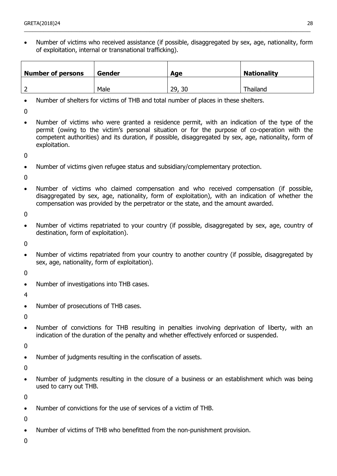Number of victims who received assistance (if possible, disaggregated by sex, age, nationality, form of exploitation, internal or transnational trafficking).

\_\_\_\_\_\_\_\_\_\_\_\_\_\_\_\_\_\_\_\_\_\_\_\_\_\_\_\_\_\_\_\_\_\_\_\_\_\_\_\_\_\_\_\_\_\_\_\_\_\_\_\_\_\_\_\_\_\_\_\_\_\_\_\_\_\_\_\_\_\_\_\_\_\_\_\_\_\_\_\_\_\_\_\_\_\_\_\_\_\_\_\_\_\_\_\_\_\_\_\_\_\_\_

| <b>Number of persons</b> | <b>Gender</b> | Age       | <b>Nationality</b> |
|--------------------------|---------------|-----------|--------------------|
|                          | Male          | 29,<br>30 | Thailand           |

- Number of shelters for victims of THB and total number of places in these shelters.
- $\Omega$
- Number of victims who were granted a residence permit, with an indication of the type of the permit (owing to the victim's personal situation or for the purpose of co-operation with the competent authorities) and its duration, if possible, disaggregated by sex, age, nationality, form of exploitation.

 $\Omega$ 

Number of victims given refugee status and subsidiary/complementary protection.

 $\Omega$ 

 Number of victims who claimed compensation and who received compensation (if possible, disaggregated by sex, age, nationality, form of exploitation), with an indication of whether the compensation was provided by the perpetrator or the state, and the amount awarded.

 $\Omega$ 

• Number of victims repatriated to your country (if possible, disaggregated by sex, age, country of destination, form of exploitation).

0

• Number of victims repatriated from your country to another country (if possible, disaggregated by sex, age, nationality, form of exploitation).

0

Number of investigations into THB cases.

4

• Number of prosecutions of THB cases.

0

 Number of convictions for THB resulting in penalties involving deprivation of liberty, with an indication of the duration of the penalty and whether effectively enforced or suspended.

 $\Omega$ 

• Number of judgments resulting in the confiscation of assets.

0

• Number of judgments resulting in the closure of a business or an establishment which was being used to carry out THB.

 $\Omega$ 

Number of convictions for the use of services of a victim of THB.

 $\theta$ 

Number of victims of THB who benefitted from the non-punishment provision.

0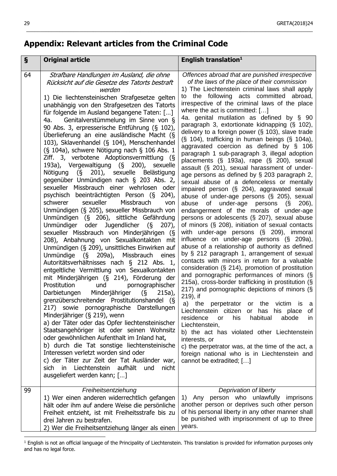## **Appendix: Relevant articles from the Criminal Code**

| $\boldsymbol{\S}$ | <b>Original article</b>                                                                                                                                                                                                                                                                                                                                                                                                                                                                                                                                                                                                                                                                                                                                                                                                                                                                                                                                                                                                                                                                                                                                                                                                                                                                                                                                                                                                                                                                                                                                                                                                                                                                                                                                                                                                                                                                                               | English translation <sup>1</sup>                                                                                                                                                                                                                                                                                                                                                                                                                                                                                                                                                                                                                                                                                                                                                                                                                                                                                                                                                                                                                                                                                                                                                                                                                                                                                                                                                                                                                                                                                                                                                                                                                                                                                                                                                                                                                                                                                  |
|-------------------|-----------------------------------------------------------------------------------------------------------------------------------------------------------------------------------------------------------------------------------------------------------------------------------------------------------------------------------------------------------------------------------------------------------------------------------------------------------------------------------------------------------------------------------------------------------------------------------------------------------------------------------------------------------------------------------------------------------------------------------------------------------------------------------------------------------------------------------------------------------------------------------------------------------------------------------------------------------------------------------------------------------------------------------------------------------------------------------------------------------------------------------------------------------------------------------------------------------------------------------------------------------------------------------------------------------------------------------------------------------------------------------------------------------------------------------------------------------------------------------------------------------------------------------------------------------------------------------------------------------------------------------------------------------------------------------------------------------------------------------------------------------------------------------------------------------------------------------------------------------------------------------------------------------------------|-------------------------------------------------------------------------------------------------------------------------------------------------------------------------------------------------------------------------------------------------------------------------------------------------------------------------------------------------------------------------------------------------------------------------------------------------------------------------------------------------------------------------------------------------------------------------------------------------------------------------------------------------------------------------------------------------------------------------------------------------------------------------------------------------------------------------------------------------------------------------------------------------------------------------------------------------------------------------------------------------------------------------------------------------------------------------------------------------------------------------------------------------------------------------------------------------------------------------------------------------------------------------------------------------------------------------------------------------------------------------------------------------------------------------------------------------------------------------------------------------------------------------------------------------------------------------------------------------------------------------------------------------------------------------------------------------------------------------------------------------------------------------------------------------------------------------------------------------------------------------------------------------------------------|
| 64                | Strafbare Handlungen im Ausland, die ohne<br>Rücksicht auf die Gesetze des Tatorts bestraft<br>werden<br>1) Die liechtensteinischen Strafgesetze gelten<br>unabhängig von den Strafgesetzen des Tatorts<br>für folgende im Ausland begangene Taten: []<br>Genitalverstümmelung im Sinne von §<br>4a.<br>90 Abs. 3, erpresserische Entführung (§ 102),<br>Überlieferung an eine ausländische Macht (§<br>103), Sklavenhandel (§ 104), Menschenhandel<br>(§ 104a), schwere Nötigung nach § 106 Abs. 1<br>Ziff. 3, verbotene Adoptionsvermittlung (§<br>193a), Vergewaltigung (§ 200), sexuelle<br>Nötigung (§ 201), sexuelle Belästigung<br>gegenüber Unmündigen nach § 203 Abs. 2,<br>sexueller Missbrauch einer wehrlosen oder<br>psychisch beeinträchtigten Person (§<br>$204)$ ,<br>Missbrauch<br>sexueller<br>schwerer<br>von<br>Unmündigen (§ 205), sexueller Missbrauch von<br>Unmündigen (§ 206), sittliche Gefährdung<br>oder Jugendlicher (§<br>Unmündiger<br>$207$ ,<br>sexueller Missbrauch von Minderjährigen (§<br>208), Anbahnung von Sexualkontakten mit<br>Unmündigen (§ 209), unsittliches Einwirken auf<br>Unmündige (§ 209a), Missbrauch eines<br>Autoritätsverhältnisses nach § 212 Abs. 1,<br>entgeltliche Vermittlung von Sexualkontakten<br>mit Minderjährigen (§ 214), Förderung der<br>Prostitution<br>und<br>pornographischer<br>Darbietungen Minderjähriger<br>$\sqrt{5}$<br>$215a)$ ,<br>grenzüberschreitender Prostitutionshandel (§<br>217) sowie pornographische Darstellungen<br>Minderjähriger (§ 219), wenn<br>a) der Täter oder das Opfer liechtensteinischer<br>Staatsangehöriger ist oder seinen Wohnsitz<br>oder gewöhnlichen Aufenthalt im Inland hat,<br>b) durch die Tat sonstige liechtensteinische<br>Interessen verletzt worden sind oder<br>c) der Täter zur Zeit der Tat Ausländer war,<br>sich in Liechtenstein aufhält<br>und<br>nicht<br>ausgeliefert werden kann; [] | Offences abroad that are punished irrespective<br>of the laws of the place of their commission<br>1) The Liechtenstein criminal laws shall apply<br>to the following acts committed abroad,<br>irrespective of the criminal laws of the place<br>where the act is committed: $[]$<br>4a. genital mutilation as defined by § 90<br>paragraph 3, extortionate kidnapping (§ 102),<br>delivery to a foreign power $(S$ 103), slave trade<br>(§ 104), trafficking in human beings (§ 104a),<br>aggravated coercion as defined by § 106<br>paragraph 1 sub-paragraph 3, illegal adoption<br>placements (§ 193a), rape (§ 200), sexual<br>assault (§ 201), sexual harassment of under-<br>age persons as defined by § 203 paragraph 2,<br>sexual abuse of a defenceless or mentally<br>impaired person (§ 204), aggravated sexual<br>abuse of under-age persons (§ 205), sexual<br>abuse of under-age persons $(S$ 206),<br>endangerment of the morals of under-age<br>persons or adolescents (§ 207), sexual abuse<br>of minors $(\S$ 208), initiation of sexual contacts<br>with under-age persons (§ 209), immoral<br>influence on under-age persons (§ 209a),<br>abuse of a relationship of authority as defined<br>by § 212 paragraph 1, arrangement of sexual<br>contacts with minors in return for a valuable<br>consideration (§ 214), promotion of prostitution<br>and pornographic performances of minors (§<br>215a), cross-border trafficking in prostitution (§<br>217) and pornographic depictions of minors (§<br>219), if<br>a)<br>the perpetrator or the victim<br>is a<br>Liechtenstein citizen or has his place<br>of<br>residence<br>habitual<br>abode<br>his<br><b>or</b><br>in<br>Liechtenstein,<br>b) the act has violated other Liechtenstein<br>interests, or<br>c) the perpetrator was, at the time of the act, a<br>foreign national who is in Liechtenstein and<br>cannot be extradited; [] |
| 99                | Freiheitsentziehung<br>1) Wer einen anderen widerrechtlich gefangen<br>hält oder ihm auf andere Weise die persönliche<br>Freiheit entzieht, ist mit Freiheitsstrafe bis zu<br>drei Jahren zu bestrafen.<br>2) Wer die Freiheitsentziehung länger als einen                                                                                                                                                                                                                                                                                                                                                                                                                                                                                                                                                                                                                                                                                                                                                                                                                                                                                                                                                                                                                                                                                                                                                                                                                                                                                                                                                                                                                                                                                                                                                                                                                                                            | Deprivation of liberty<br>1) Any person who unlawfully imprisons<br>another person or deprives such other person<br>of his personal liberty in any other manner shall<br>be punished with imprisonment of up to three<br>years.                                                                                                                                                                                                                                                                                                                                                                                                                                                                                                                                                                                                                                                                                                                                                                                                                                                                                                                                                                                                                                                                                                                                                                                                                                                                                                                                                                                                                                                                                                                                                                                                                                                                                   |

 $\_$  ,  $\_$  ,  $\_$  ,  $\_$  ,  $\_$  ,  $\_$  ,  $\_$  ,  $\_$  ,  $\_$  ,  $\_$  ,  $\_$  ,  $\_$  ,  $\_$  ,  $\_$  ,  $\_$  ,  $\_$  ,  $\_$  ,  $\_$  ,  $\_$  ,  $\_$  ,  $\_$  ,  $\_$  ,  $\_$  ,  $\_$  ,  $\_$  ,  $\_$  ,  $\_$  ,  $\_$  ,  $\_$  ,  $\_$  ,  $\_$  ,  $\_$  ,  $\_$  ,  $\_$  ,  $\_$  ,  $\_$  ,  $\_$  ,

 $\overline{a}$ <sup>1</sup> English is not an official language of the Principality of Liechtenstein. This translation is provided for information purposes only and has no legal force.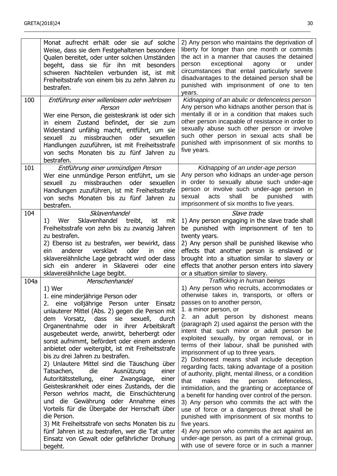|      | Monat aufrecht erhält oder sie auf solche<br>Weise, dass sie dem Festgehaltenen besondere<br>Qualen bereitet, oder unter solchen Umständen<br>begeht, dass sie für ihn mit besonders<br>schweren Nachteilen verbunden ist, ist mit<br>Freiheitsstrafe von einem bis zu zehn Jahren zu<br>bestrafen.                                                                                                                                                                                                                                                                                                                                                                                                                                                                                                                                                                                                                                                                         | 2) Any person who maintains the deprivation of<br>liberty for longer than one month or commits<br>the act in a manner that causes the detained<br>exceptional<br>agony<br>under<br>person<br>or<br>circumstances that entail particularly severe<br>disadvantages to the detained person shall be<br>punished with imprisonment of one to ten<br>years.                                                                                                                                                                                                                                                                                                                                                                                                                                                                                                                                                                                                                                                                                                                                           |
|------|-----------------------------------------------------------------------------------------------------------------------------------------------------------------------------------------------------------------------------------------------------------------------------------------------------------------------------------------------------------------------------------------------------------------------------------------------------------------------------------------------------------------------------------------------------------------------------------------------------------------------------------------------------------------------------------------------------------------------------------------------------------------------------------------------------------------------------------------------------------------------------------------------------------------------------------------------------------------------------|---------------------------------------------------------------------------------------------------------------------------------------------------------------------------------------------------------------------------------------------------------------------------------------------------------------------------------------------------------------------------------------------------------------------------------------------------------------------------------------------------------------------------------------------------------------------------------------------------------------------------------------------------------------------------------------------------------------------------------------------------------------------------------------------------------------------------------------------------------------------------------------------------------------------------------------------------------------------------------------------------------------------------------------------------------------------------------------------------|
| 100  | Entführung einer willenlosen oder wehrlosen<br>Person<br>Wer eine Person, die geisteskrank ist oder sich<br>in einem Zustand befindet, der sie zum<br>Widerstand unfähig macht, entführt, um sie<br>missbrauchen<br>sexuell<br>oder<br>sexuellen<br>zu<br>Handlungen zuzuführen, ist mit Freiheitsstrafe<br>von sechs Monaten bis zu fünf Jahren zu<br>bestrafen.                                                                                                                                                                                                                                                                                                                                                                                                                                                                                                                                                                                                           | Kidnapping of an abulic or defenceless person<br>Any person who kidnaps another person that is<br>mentally ill or in a condition that makes such<br>other person incapable of resistance in order to<br>sexually abuse such other person or involve<br>such other person in sexual acts shall be<br>punished with imprisonment of six months to<br>five years.                                                                                                                                                                                                                                                                                                                                                                                                                                                                                                                                                                                                                                                                                                                                    |
| 101  | Entführung einer unmündigen Person<br>Wer eine unmündige Person entführt, um sie<br>missbrauchen<br>oder<br>sexuell<br>sexuellen<br>zu<br>Handlungen zuzuführen, ist mit Freiheitsstrafe<br>von sechs Monaten bis zu fünf Jahren zu<br>bestrafen.                                                                                                                                                                                                                                                                                                                                                                                                                                                                                                                                                                                                                                                                                                                           | Kidnapping of an under-age person<br>Any person who kidnaps an under-age person<br>in order to sexually abuse such under-age<br>person or involve such under-age person in<br>shall<br>be<br>acts<br>punished<br>with<br>sexual<br>imprisonment of six months to five years.                                                                                                                                                                                                                                                                                                                                                                                                                                                                                                                                                                                                                                                                                                                                                                                                                      |
| 104  | Sklavenhandel<br>Sklavenhandel<br>treibt,<br>1)<br>Wer<br>ist<br>mit<br>Freiheitsstrafe von zehn bis zu zwanzig Jahren<br>zu bestrafen.<br>2) Ebenso ist zu bestrafen, wer bewirkt, dass<br>ein<br>versklavt<br>anderer<br>oder<br>eine<br>in.<br>sklavereiähnliche Lage gebracht wird oder dass<br>ein anderer in Sklaverei<br>oder<br>sich<br>eine<br>sklavereiähnliche Lage begibt.                                                                                                                                                                                                                                                                                                                                                                                                                                                                                                                                                                                      | Slave trade<br>1) Any person engaging in the slave trade shall<br>be punished with imprisonment of ten to<br>twenty years.<br>2) Any person shall be punished likewise who<br>effects that another person is enslaved or<br>brought into a situation similar to slavery or<br>effects that another person enters into slavery<br>or a situation similar to slavery.                                                                                                                                                                                                                                                                                                                                                                                                                                                                                                                                                                                                                                                                                                                               |
| 104a | Menschenhandel<br>1) Wer<br>1. eine minderjährige Person oder<br>2. eine volljährige Person unter<br>Einsatz<br>unlauterer Mittel (Abs. 2) gegen die Person mit<br>Vorsatz,<br>dass sie<br>sexuell,<br>durch<br>dem<br>Organentnahme oder in ihrer Arbeitskraft<br>ausgebeutet werde, anwirbt, beherbergt oder<br>sonst aufnimmt, befördert oder einem anderen<br>anbietet oder weitergibt, ist mit Freiheitsstrafe<br>bis zu drei Jahren zu bestrafen.<br>2) Unlautere Mittel sind die Täuschung über<br>Tatsachen,<br>die<br>Ausnützung<br>einer<br>Autoritätsstellung, einer Zwangslage,<br>einer<br>Geisteskrankheit oder eines Zustands, der die<br>Person wehrlos macht, die Einschüchterung<br>und die Gewährung oder Annahme eines<br>Vorteils für die Übergabe der Herrschaft über<br>die Person.<br>3) Mit Freiheitsstrafe von sechs Monaten bis zu<br>fünf Jahren ist zu bestrafen, wer die Tat unter<br>Einsatz von Gewalt oder gefährlicher Drohung<br>begeht. | Trafficking in human beings<br>1) Any person who recruits, accommodates or<br>otherwise takes in, transports, or offers or<br>passes on to another person,<br>1. a minor person, or<br>2. an adult person by dishonest means<br>(paragraph 2) used against the person with the<br>intent that such minor or adult person be<br>exploited sexually, by organ removal, or in<br>terms of their labour, shall be punished with<br>imprisonment of up to three years.<br>2) Dishonest means shall include deception<br>regarding facts, taking advantage of a position<br>of authority, plight, mental illness, or a condition<br>that<br>makes<br>defenceless,<br>the<br>person<br>intimidation, and the granting or acceptance of<br>a benefit for handing over control of the person.<br>3) Any person who commits the act with the<br>use of force or a dangerous threat shall be<br>punished with imprisonment of six months to<br>five years.<br>4) Any person who commits the act against an<br>under-age person, as part of a criminal group,<br>with use of severe force or in such a manner |

\_\_\_\_\_\_\_\_\_\_\_\_\_\_\_\_\_\_\_\_\_\_\_\_\_\_\_\_\_\_\_\_\_\_\_\_\_\_\_\_\_\_\_\_\_\_\_\_\_\_\_\_\_\_\_\_\_\_\_\_\_\_\_\_\_\_\_\_\_\_\_\_\_\_\_\_\_\_\_\_\_\_\_\_\_\_\_\_\_\_\_\_\_\_\_\_\_\_\_\_\_\_\_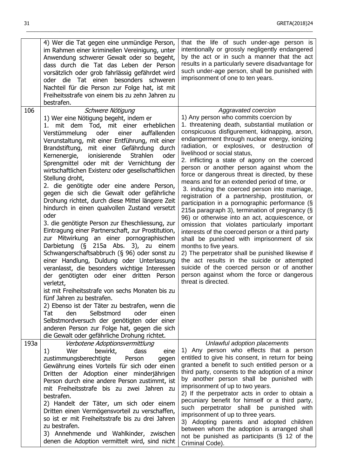|      | 4) Wer die Tat gegen eine unmündige Person,<br>im Rahmen einer kriminellen Vereinigung, unter<br>Anwendung schwerer Gewalt oder so begeht,<br>dass durch die Tat das Leben der Person<br>vorsätzlich oder grob fahrlässig gefährdet wird<br>oder die Tat einen<br>besonders schweren<br>Nachteil für die Person zur Folge hat, ist mit<br>Freiheitsstrafe von einem bis zu zehn Jahren zu<br>bestrafen.                                                                                                                                                                                                                                                                                                                                                                                                                                                                                                                                                                                                                                                                                                                                                                                                                                                                                                                                                                          | that the life of such under-age person is<br>intentionally or grossly negligently endangered<br>by the act or in such a manner that the act<br>results in a particularly severe disadvantage for<br>such under-age person, shall be punished with<br>imprisonment of one to ten years.                                                                                                                                                                                                                                                                                                                                                                                                                                                                                                                                                                                                                                                                                                                                                                                                                                                                         |
|------|----------------------------------------------------------------------------------------------------------------------------------------------------------------------------------------------------------------------------------------------------------------------------------------------------------------------------------------------------------------------------------------------------------------------------------------------------------------------------------------------------------------------------------------------------------------------------------------------------------------------------------------------------------------------------------------------------------------------------------------------------------------------------------------------------------------------------------------------------------------------------------------------------------------------------------------------------------------------------------------------------------------------------------------------------------------------------------------------------------------------------------------------------------------------------------------------------------------------------------------------------------------------------------------------------------------------------------------------------------------------------------|----------------------------------------------------------------------------------------------------------------------------------------------------------------------------------------------------------------------------------------------------------------------------------------------------------------------------------------------------------------------------------------------------------------------------------------------------------------------------------------------------------------------------------------------------------------------------------------------------------------------------------------------------------------------------------------------------------------------------------------------------------------------------------------------------------------------------------------------------------------------------------------------------------------------------------------------------------------------------------------------------------------------------------------------------------------------------------------------------------------------------------------------------------------|
| 106  | Schwere Nötigung<br>1) Wer eine Nötigung begeht, indem er<br>mit dem Tod, mit einer erheblichen<br>1.<br>oder<br>Verstümmelung<br>einer<br>auffallenden<br>Verunstaltung, mit einer Entführung, mit einer<br>Brandstiftung, mit einer Gefährdung durch<br>ionisierende<br><b>Strahlen</b><br>Kernenergie,<br>oder<br>Sprengmittel oder mit der Vernichtung der<br>wirtschaftlichen Existenz oder gesellschaftlichen<br>Stellung droht,<br>2. die genötigte oder eine andere Person,<br>gegen die sich die Gewalt oder gefährliche<br>Drohung richtet, durch diese Mittel längere Zeit<br>hindurch in einen qualvollen Zustand versetzt<br>oder<br>3. die genötigte Person zur Eheschliessung, zur<br>Eintragung einer Partnerschaft, zur Prostitution,<br>zur Mitwirkung an einer pornographischen<br>Darbietung (§ 215a Abs. 3), zu einem<br>Schwangerschaftsabbruch (§ 96) oder sonst zu<br>einer Handlung, Duldung oder Unterlassung<br>veranlasst, die besonders wichtige Interessen<br>der genötigten oder einer dritten Person<br>verletzt,<br>ist mit Freiheitsstrafe von sechs Monaten bis zu<br>fünf Jahren zu bestrafen.<br>2) Ebenso ist der Täter zu bestrafen, wenn die<br>Selbstmord<br>Tat<br>den<br>oder<br>einen<br>Selbstmordversuch der genötigten oder einer<br>anderen Person zur Folge hat, gegen die sich<br>die Gewalt oder gefährliche Drohung richtet. | Aggravated coercion<br>1) Any person who commits coercion by<br>1. threatening death, substantial mutilation or<br>conspicuous disfigurement, kidnapping, arson,<br>endangerment through nuclear energy, ionizing<br>radiation, or explosives, or destruction of<br>livelihood or social status,<br>2. inflicting a state of agony on the coerced<br>person or another person against whom the<br>force or dangerous threat is directed, by these<br>means and for an extended period of time, or<br>3. inducing the coerced person into marriage,<br>registration of a partnership, prostitution, or<br>participation in a pornographic performance (§<br>215a paragraph 3), termination of pregnancy (§<br>96) or otherwise into an act, acquiescence, or<br>omission that violates particularly important<br>interests of the coerced person or a third party<br>shall be punished with imprisonment of six<br>months to five years.<br>2) The perpetrator shall be punished likewise if<br>the act results in the suicide or attempted<br>suicide of the coerced person or of another<br>person against whom the force or dangerous<br>threat is directed. |
| 193a | Verbotene Adoptionsvermittlung<br>bewirkt,<br>dass<br>Wer<br>1)<br>eine<br>zustimmungsberechtigte<br>Person<br>gegen<br>Gewährung eines Vorteils für sich oder einen<br>Dritten der Adoption einer minderjährigen<br>Person durch eine andere Person zustimmt, ist<br>mit Freiheitsstrafe bis zu zwei Jahren zu<br>bestrafen.<br>2) Handelt der Täter, um sich oder einem<br>Dritten einen Vermögensvorteil zu verschaffen,<br>so ist er mit Freiheitsstrafe bis zu drei Jahren<br>zu bestrafen.<br>3) Annehmende und Wahlkinder, zwischen<br>denen die Adoption vermittelt wird, sind nicht                                                                                                                                                                                                                                                                                                                                                                                                                                                                                                                                                                                                                                                                                                                                                                                     | Unlawful adoption placements<br>1) Any person who effects that a person<br>entitled to give his consent, in return for being<br>granted a benefit to such entitled person or a<br>third party, consents to the adoption of a minor<br>by another person shall be punished with<br>imprisonment of up to two years.<br>2) If the perpetrator acts in order to obtain a<br>pecuniary benefit for himself or a third party,<br>such perpetrator shall be punished with<br>imprisonment of up to three years.<br>3) Adopting parents and adopted children<br>between whom the adoption is arranged shall<br>not be punished as participants (§ 12 of the<br>Criminal Code).                                                                                                                                                                                                                                                                                                                                                                                                                                                                                        |

 $\_$  ,  $\_$  ,  $\_$  ,  $\_$  ,  $\_$  ,  $\_$  ,  $\_$  ,  $\_$  ,  $\_$  ,  $\_$  ,  $\_$  ,  $\_$  ,  $\_$  ,  $\_$  ,  $\_$  ,  $\_$  ,  $\_$  ,  $\_$  ,  $\_$  ,  $\_$  ,  $\_$  ,  $\_$  ,  $\_$  ,  $\_$  ,  $\_$  ,  $\_$  ,  $\_$  ,  $\_$  ,  $\_$  ,  $\_$  ,  $\_$  ,  $\_$  ,  $\_$  ,  $\_$  ,  $\_$  ,  $\_$  ,  $\_$  ,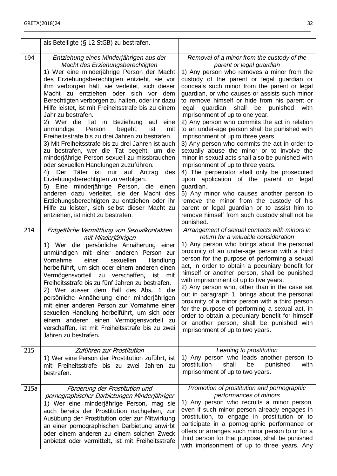|      | als Beteiligte (§ 12 StGB) zu bestrafen.                                                                                                                                                                                                                                                                                                                                                                                                                                                                                                                                                                                                                                                                                                                                                                                                                                                                                                                                                                                                                                |                                                                                                                                                                                                                                                                                                                                                                                                                                                                                                                                                                                                                                                                                                                                                                                                                                                                                                                                                                                                                                                         |
|------|-------------------------------------------------------------------------------------------------------------------------------------------------------------------------------------------------------------------------------------------------------------------------------------------------------------------------------------------------------------------------------------------------------------------------------------------------------------------------------------------------------------------------------------------------------------------------------------------------------------------------------------------------------------------------------------------------------------------------------------------------------------------------------------------------------------------------------------------------------------------------------------------------------------------------------------------------------------------------------------------------------------------------------------------------------------------------|---------------------------------------------------------------------------------------------------------------------------------------------------------------------------------------------------------------------------------------------------------------------------------------------------------------------------------------------------------------------------------------------------------------------------------------------------------------------------------------------------------------------------------------------------------------------------------------------------------------------------------------------------------------------------------------------------------------------------------------------------------------------------------------------------------------------------------------------------------------------------------------------------------------------------------------------------------------------------------------------------------------------------------------------------------|
| 194  | Entziehung eines Minderjährigen aus der<br>Macht des Erziehungsberechtigten<br>1) Wer eine minderjährige Person der Macht<br>des Erziehungsberechtigten entzieht, sie vor<br>ihm verborgen hält, sie verleitet, sich dieser<br>Macht zu entziehen oder sich vor dem<br>Berechtigten verborgen zu halten, oder ihr dazu<br>Hilfe leistet, ist mit Freiheitsstrafe bis zu einem<br>Jahr zu bestrafen.<br>2) Wer die Tat in Beziehung auf<br>eine<br>Person<br>unmündige<br>begeht,<br>ist<br>mit<br>Freiheitsstrafe bis zu drei Jahren zu bestrafen.<br>3) Mit Freiheitsstrafe bis zu drei Jahren ist auch<br>zu bestrafen, wer die Tat begeht, um die<br>minderjährige Person sexuell zu missbrauchen<br>oder sexuellen Handlungen zuzuführen.<br>Der<br>Täter<br>ist nur auf Antrag<br>4)<br>des<br>Erziehungsberechtigten zu verfolgen.<br>5) Eine minderjährige Person, die einen<br>anderen dazu verleitet, sie der Macht des<br>Erziehungsberechtigten zu entziehen oder ihr<br>Hilfe zu leisten, sich selbst dieser Macht zu<br>entziehen, ist nicht zu bestrafen. | Removal of a minor from the custody of the<br>parent or legal guardian<br>1) Any person who removes a minor from the<br>custody of the parent or legal guardian or<br>conceals such minor from the parent or legal<br>guardian, or who causes or assists such minor<br>to remove himself or hide from his parent or<br>guardian shall<br>be punished<br>legal<br>with<br>imprisonment of up to one year.<br>2) Any person who commits the act in relation<br>to an under-age person shall be punished with<br>imprisonment of up to three years.<br>3) Any person who commits the act in order to<br>sexually abuse the minor or to involve the<br>minor in sexual acts shall also be punished with<br>imprisonment of up to three years.<br>4) The perpetrator shall only be prosecuted<br>upon application of the parent or legal<br>guardian.<br>5) Any minor who causes another person to<br>remove the minor from the custody of his<br>parent or legal guardian or to assist him to<br>remove himself from such custody shall not be<br>punished. |
| 214  | Entgeltliche Vermittlung von Sexualkontakten<br>mit Minderjährigen<br>1) Wer die persönliche Annäherung einer<br>unmündigen mit einer anderen Person zur<br>Vornahme<br>einer<br>sexuellen<br>Handlung<br>herbeiführt, um sich oder einem anderen einen<br>Vermögensvorteil zu verschaffen, ist<br>mit<br>Freiheitsstrafe bis zu fünf Jahren zu bestrafen.<br>2) Wer ausser dem Fall des Abs. 1 die<br>persönliche Annäherung einer minderjährigen<br>mit einer anderen Person zur Vornahme einer<br>sexuellen Handlung herbeiführt, um sich oder<br>einem anderen einen Vermögensvorteil zu<br>verschaffen, ist mit Freiheitsstrafe bis zu zwei<br>Jahren zu bestrafen.                                                                                                                                                                                                                                                                                                                                                                                                | Arrangement of sexual contacts with minors in<br>return for a valuable consideration<br>1) Any person who brings about the personal<br>proximity of an under-age person with a third<br>person for the purpose of performing a sexual<br>act, in order to obtain a pecuniary benefit for<br>himself or another person, shall be punished<br>with imprisonment of up to five years.<br>2) Any person who, other than in the case set<br>out in paragraph 1, brings about the personal<br>proximity of a minor person with a third person<br>for the purpose of performing a sexual act, in<br>order to obtain a pecuniary benefit for himself<br>or another person, shall be punished with<br>imprisonment of up to two years.                                                                                                                                                                                                                                                                                                                           |
| 215  | Zuführen zur Prostitution<br>1) Wer eine Person der Prostitution zuführt, ist<br>mit Freiheitsstrafe bis zu zwei Jahren zu<br>bestrafen.                                                                                                                                                                                                                                                                                                                                                                                                                                                                                                                                                                                                                                                                                                                                                                                                                                                                                                                                | Leading to prostitution<br>1) Any person who leads another person to<br>prostitution<br>shall<br>be<br>with<br>punished<br>imprisonment of up to two years.                                                                                                                                                                                                                                                                                                                                                                                                                                                                                                                                                                                                                                                                                                                                                                                                                                                                                             |
| 215a | Förderung der Prostitution und<br>pornographischer Darbietungen Minderjähriger<br>1) Wer eine minderjährige Person, mag sie<br>auch bereits der Prostitution nachgehen, zur<br>Ausübung der Prostitution oder zur Mitwirkung<br>an einer pornographischen Darbietung anwirbt<br>oder einem anderen zu einem solchen Zweck<br>anbietet oder vermittelt, ist mit Freiheitsstrafe                                                                                                                                                                                                                                                                                                                                                                                                                                                                                                                                                                                                                                                                                          | Promotion of prostitution and pornographic<br>performances of minors<br>1) Any person who recruits a minor person,<br>even if such minor person already engages in<br>prostitution, to engage in prostitution or to<br>participate in a pornographic performance or<br>offers or arranges such minor person to or for a<br>third person for that purpose, shall be punished<br>with imprisonment of up to three years. Any                                                                                                                                                                                                                                                                                                                                                                                                                                                                                                                                                                                                                              |

\_\_\_\_\_\_\_\_\_\_\_\_\_\_\_\_\_\_\_\_\_\_\_\_\_\_\_\_\_\_\_\_\_\_\_\_\_\_\_\_\_\_\_\_\_\_\_\_\_\_\_\_\_\_\_\_\_\_\_\_\_\_\_\_\_\_\_\_\_\_\_\_\_\_\_\_\_\_\_\_\_\_\_\_\_\_\_\_\_\_\_\_\_\_\_\_\_\_\_\_\_\_\_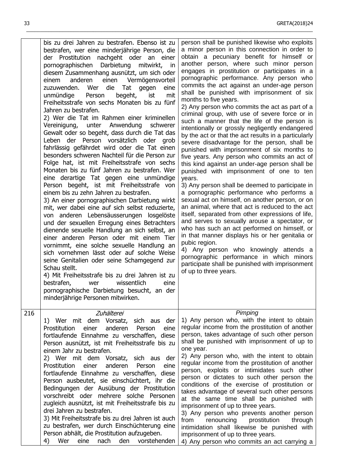33 GRETA(2018)24

|     | bis zu drei Jahren zu bestrafen. Ebenso ist zu<br>bestrafen, wer eine minderjährige Person, die<br>der Prostitution nachgeht oder an einer<br>pornographischen Darbietung<br>mitwirkt,<br><sub>in</sub><br>diesem Zusammenhang ausnützt, um sich oder<br>anderen einen Vermögensvorteil<br>einem<br>Wer<br>die<br>zuzuwenden.<br>Tat<br>eine<br>gegen<br>Person<br>begeht,<br>mit<br>unmündige<br>ist<br>Freiheitsstrafe von sechs Monaten bis zu fünf<br>Jahren zu bestrafen.<br>2) Wer die Tat im Rahmen einer kriminellen<br>Vereinigung, unter Anwendung<br>schwerer<br>Gewalt oder so begeht, dass durch die Tat das<br>Leben der Person vorsätzlich oder grob<br>fahrlässig gefährdet wird oder die Tat einen<br>besonders schweren Nachteil für die Person zur<br>Folge hat, ist mit Freiheitsstrafe von sechs<br>Monaten bis zu fünf Jahren zu bestrafen. Wer<br>eine derartige Tat gegen eine unmündige<br>Person begeht, ist mit Freiheitsstrafe von<br>einem bis zu zehn Jahren zu bestrafen.<br>3) An einer pornographischen Darbietung wirkt<br>mit, wer dabei eine auf sich selbst reduzierte,<br>von anderen Lebensäusserungen losgelöste<br>und der sexuellen Erregung eines Betrachters<br>dienende sexuelle Handlung an sich selbst, an<br>einer anderen Person oder mit einem Tier<br>vornimmt, eine solche sexuelle Handlung an<br>sich vornehmen lässt oder auf solche Weise<br>seine Genitalien oder seine Schamgegend zur<br>Schau stellt.<br>4) Mit Freiheitsstrafe bis zu drei Jahren ist zu<br>bestrafen,<br>wissentlich<br>wer<br>eine<br>pornographische Darbietung besucht, an der<br>minderjährige Personen mitwirken. | person shall be punished likewise who exploits<br>a minor person in this connection in order to<br>obtain a pecuniary benefit for himself or<br>another person, where such minor person<br>engages in prostitution or participates in a<br>pornographic performance. Any person who<br>commits the act against an under-age person<br>shall be punished with imprisonment of six<br>months to five years.<br>2) Any person who commits the act as part of a<br>criminal group, with use of severe force or in<br>such a manner that the life of the person is<br>intentionally or grossly negligently endangered<br>by the act or that the act results in a particularly<br>severe disadvantage for the person, shall be<br>punished with imprisonment of six months to<br>five years. Any person who commits an act of<br>this kind against an under-age person shall be<br>punished with imprisonment of one to ten<br>years.<br>3) Any person shall be deemed to participate in<br>a pornographic performance who performs a<br>sexual act on himself, on another person, or on<br>an animal, where that act is reduced to the act<br>itself, separated from other expressions of life,<br>and serves to sexually arouse a spectator, or<br>who has such an act performed on himself, or<br>in that manner displays his or her genitalia or<br>pubic region.<br>4) Any person who knowingly attends a<br>pornographic performance in which minors<br>participate shall be punished with imprisonment<br>of up to three years. |
|-----|------------------------------------------------------------------------------------------------------------------------------------------------------------------------------------------------------------------------------------------------------------------------------------------------------------------------------------------------------------------------------------------------------------------------------------------------------------------------------------------------------------------------------------------------------------------------------------------------------------------------------------------------------------------------------------------------------------------------------------------------------------------------------------------------------------------------------------------------------------------------------------------------------------------------------------------------------------------------------------------------------------------------------------------------------------------------------------------------------------------------------------------------------------------------------------------------------------------------------------------------------------------------------------------------------------------------------------------------------------------------------------------------------------------------------------------------------------------------------------------------------------------------------------------------------------------------------------------------------------------------------------------------------|----------------------------------------------------------------------------------------------------------------------------------------------------------------------------------------------------------------------------------------------------------------------------------------------------------------------------------------------------------------------------------------------------------------------------------------------------------------------------------------------------------------------------------------------------------------------------------------------------------------------------------------------------------------------------------------------------------------------------------------------------------------------------------------------------------------------------------------------------------------------------------------------------------------------------------------------------------------------------------------------------------------------------------------------------------------------------------------------------------------------------------------------------------------------------------------------------------------------------------------------------------------------------------------------------------------------------------------------------------------------------------------------------------------------------------------------------------------------------------------------------------------------------------|
| 216 | Zuhälterei<br>1) Wer mit dem Vorsatz,<br>sich aus<br>der<br>anderen<br>Prostitution<br>einer<br>Person<br>eine<br>fortlaufende Einnahme zu verschaffen, diese<br>Person ausnützt, ist mit Freiheitsstrafe bis zu<br>einem Jahr zu bestrafen.<br>2) Wer mit dem Vorsatz, sich aus der<br>Prostitution<br>einer<br>anderen<br>Person<br>eine<br>fortlaufende Einnahme zu verschaffen, diese<br>Person ausbeutet, sie einschüchtert, ihr die<br>Bedingungen der Ausübung der Prostitution<br>vorschreibt oder mehrere solche Personen<br>zugleich ausnützt, ist mit Freiheitsstrafe bis zu<br>drei Jahren zu bestrafen.<br>3) Mit Freiheitsstrafe bis zu drei Jahren ist auch<br>zu bestrafen, wer durch Einschüchterung eine<br>Person abhält, die Prostitution aufzugeben.<br>4)<br>Wer<br>nach<br>den<br>vorstehenden<br>eine                                                                                                                                                                                                                                                                                                                                                                                                                                                                                                                                                                                                                                                                                                                                                                                                                        | Pimping<br>1) Any person who, with the intent to obtain<br>regular income from the prostitution of another<br>person, takes advantage of such other person<br>shall be punished with imprisonment of up to<br>one year.<br>2) Any person who, with the intent to obtain<br>regular income from the prostitution of another<br>person, exploits or intimidates such other<br>person or dictates to such other person the<br>conditions of the exercise of prostitution or<br>takes advantage of several such other persons<br>at the same time shall be punished with<br>imprisonment of up to three years.<br>3) Any person who prevents another person<br>from<br>renouncing<br>prostitution<br>through<br>intimidation shall likewise be punished with<br>imprisonment of up to three years.<br>4) Any person who commits an act carrying a                                                                                                                                                                                                                                                                                                                                                                                                                                                                                                                                                                                                                                                                                    |

 $\_$  ,  $\_$  ,  $\_$  ,  $\_$  ,  $\_$  ,  $\_$  ,  $\_$  ,  $\_$  ,  $\_$  ,  $\_$  ,  $\_$  ,  $\_$  ,  $\_$  ,  $\_$  ,  $\_$  ,  $\_$  ,  $\_$  ,  $\_$  ,  $\_$  ,  $\_$  ,  $\_$  ,  $\_$  ,  $\_$  ,  $\_$  ,  $\_$  ,  $\_$  ,  $\_$  ,  $\_$  ,  $\_$  ,  $\_$  ,  $\_$  ,  $\_$  ,  $\_$  ,  $\_$  ,  $\_$  ,  $\_$  ,  $\_$  ,